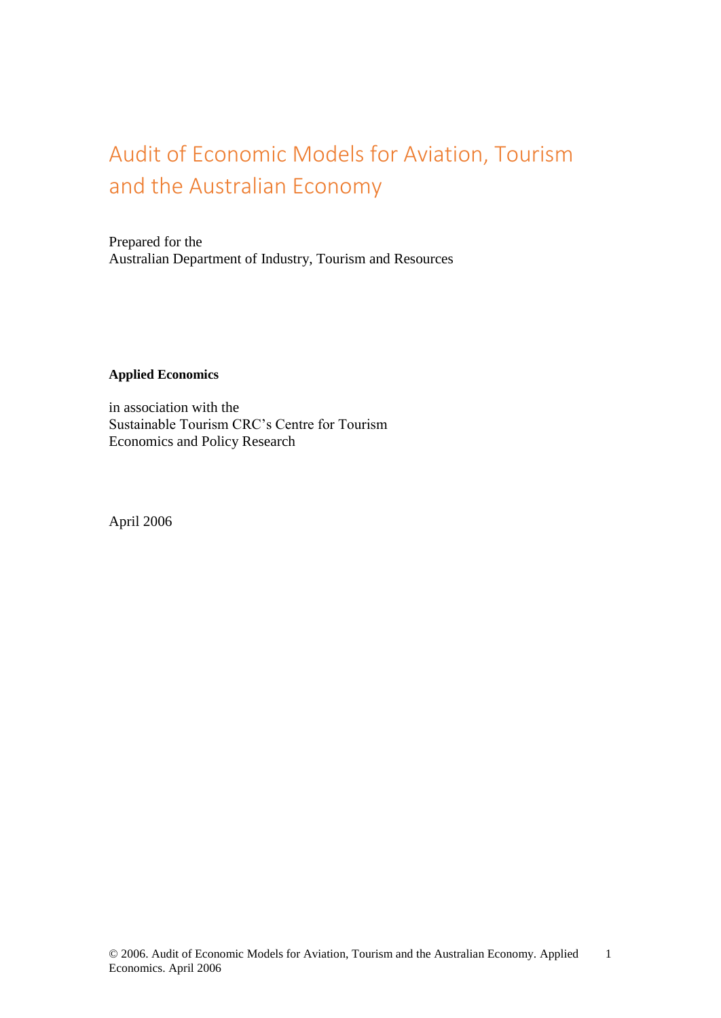# Audit of Economic Models for Aviation, Tourism and the Australian Economy

Prepared for the Australian Department of Industry, Tourism and Resources

#### **Applied Economics**

in association with the Sustainable Tourism CRC's Centre for Tourism Economics and Policy Research

April 2006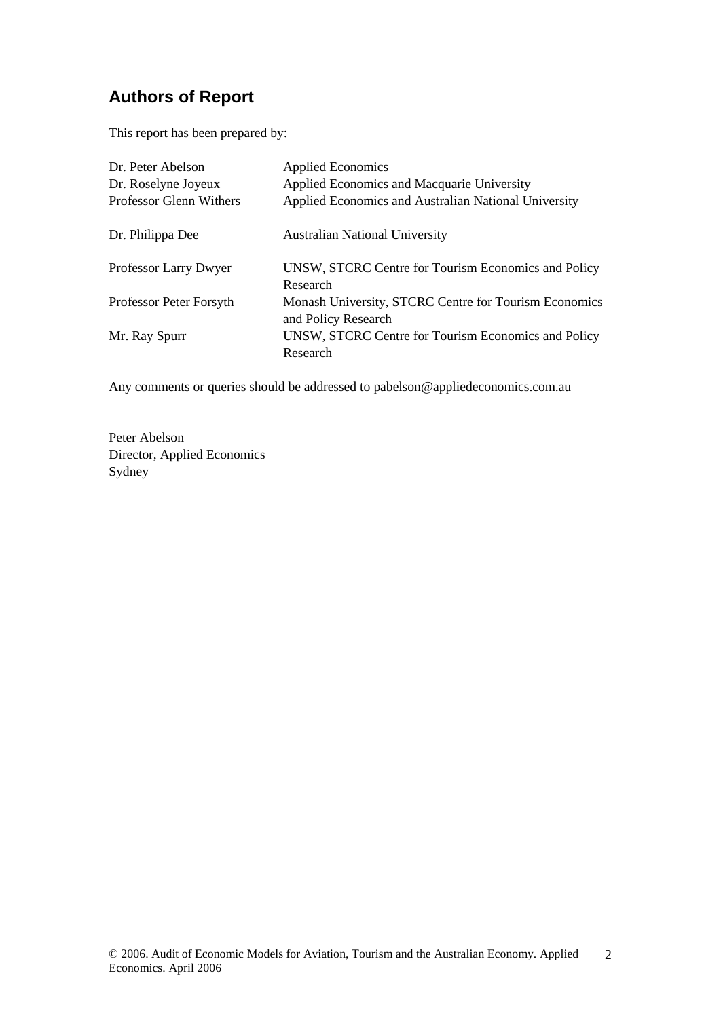## **Authors of Report**

This report has been prepared by:

| Dr. Peter Abelson       | <b>Applied Economics</b>                                                     |
|-------------------------|------------------------------------------------------------------------------|
| Dr. Roselyne Joyeux     | Applied Economics and Macquarie University                                   |
| Professor Glenn Withers | Applied Economics and Australian National University                         |
| Dr. Philippa Dee        | <b>Australian National University</b>                                        |
| Professor Larry Dwyer   | UNSW, STCRC Centre for Tourism Economics and Policy<br>Research              |
| Professor Peter Forsyth | Monash University, STCRC Centre for Tourism Economics<br>and Policy Research |
| Mr. Ray Spurr           | UNSW, STCRC Centre for Tourism Economics and Policy<br>Research              |

Any comments or queries should be addressed t[o pabelson@appliedeconomics.com.au](mailto:pabelson@appliedeconomics.com.au)

Peter Abelson Director, Applied Economics Sydney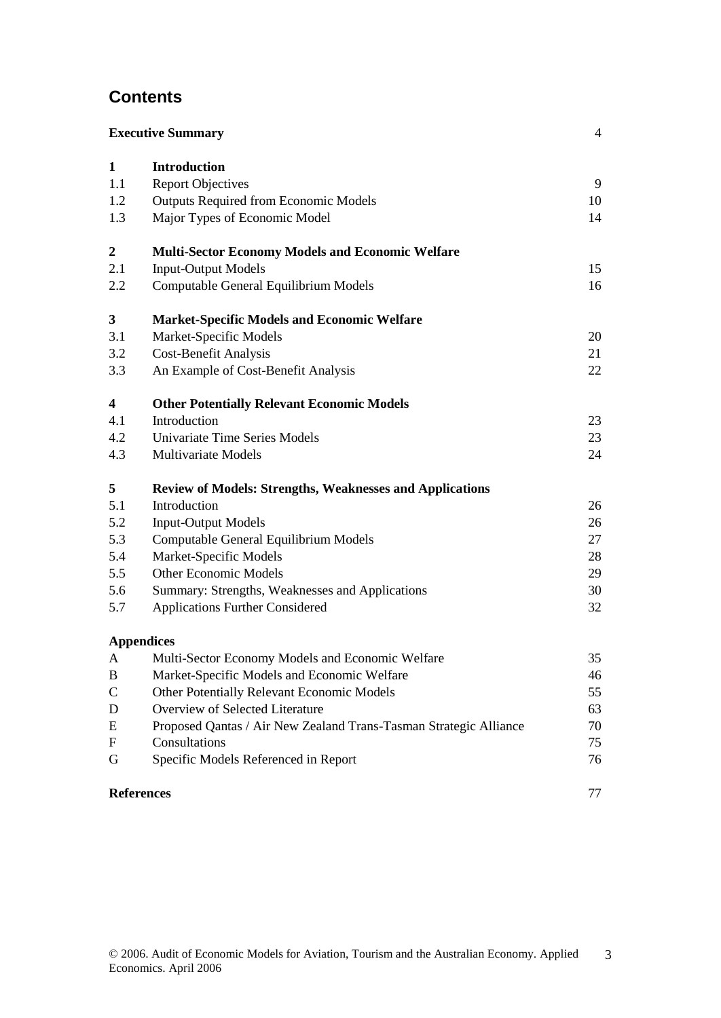## **Contents**

|                           | <b>Executive Summary</b>                                          | 4  |
|---------------------------|-------------------------------------------------------------------|----|
| $\mathbf{1}$              | <b>Introduction</b>                                               |    |
| 1.1                       | <b>Report Objectives</b>                                          | 9  |
| 1.2                       | <b>Outputs Required from Economic Models</b>                      | 10 |
| 1.3                       | Major Types of Economic Model                                     | 14 |
| $\boldsymbol{2}$          | <b>Multi-Sector Economy Models and Economic Welfare</b>           |    |
| 2.1                       | <b>Input-Output Models</b>                                        | 15 |
| 2.2                       | Computable General Equilibrium Models                             | 16 |
| 3                         | <b>Market-Specific Models and Economic Welfare</b>                |    |
| 3.1                       | Market-Specific Models                                            | 20 |
| 3.2                       | <b>Cost-Benefit Analysis</b>                                      | 21 |
| 3.3                       | An Example of Cost-Benefit Analysis                               | 22 |
| 4                         | <b>Other Potentially Relevant Economic Models</b>                 |    |
| 4.1                       | Introduction                                                      | 23 |
| 4.2                       | Univariate Time Series Models                                     | 23 |
| 4.3                       | <b>Multivariate Models</b>                                        | 24 |
| 5                         | <b>Review of Models: Strengths, Weaknesses and Applications</b>   |    |
| 5.1                       | Introduction                                                      | 26 |
| 5.2                       | <b>Input-Output Models</b>                                        | 26 |
| 5.3                       | Computable General Equilibrium Models                             | 27 |
| 5.4                       | Market-Specific Models                                            | 28 |
| 5.5                       | <b>Other Economic Models</b>                                      | 29 |
| 5.6                       | Summary: Strengths, Weaknesses and Applications                   | 30 |
| 5.7                       | <b>Applications Further Considered</b>                            | 32 |
|                           | <b>Appendices</b>                                                 |    |
| A                         | Multi-Sector Economy Models and Economic Welfare                  | 35 |
| $\, {\bf B}$              | Market-Specific Models and Economic Welfare                       | 46 |
| $\mathsf{C}$              | Other Potentially Relevant Economic Models                        | 55 |
| $\mathbf D$               | Overview of Selected Literature                                   | 63 |
| E                         | Proposed Qantas / Air New Zealand Trans-Tasman Strategic Alliance | 70 |
| $\boldsymbol{\mathrm{F}}$ | Consultations                                                     | 75 |
| G                         | Specific Models Referenced in Report                              | 76 |
|                           | <b>References</b>                                                 | 77 |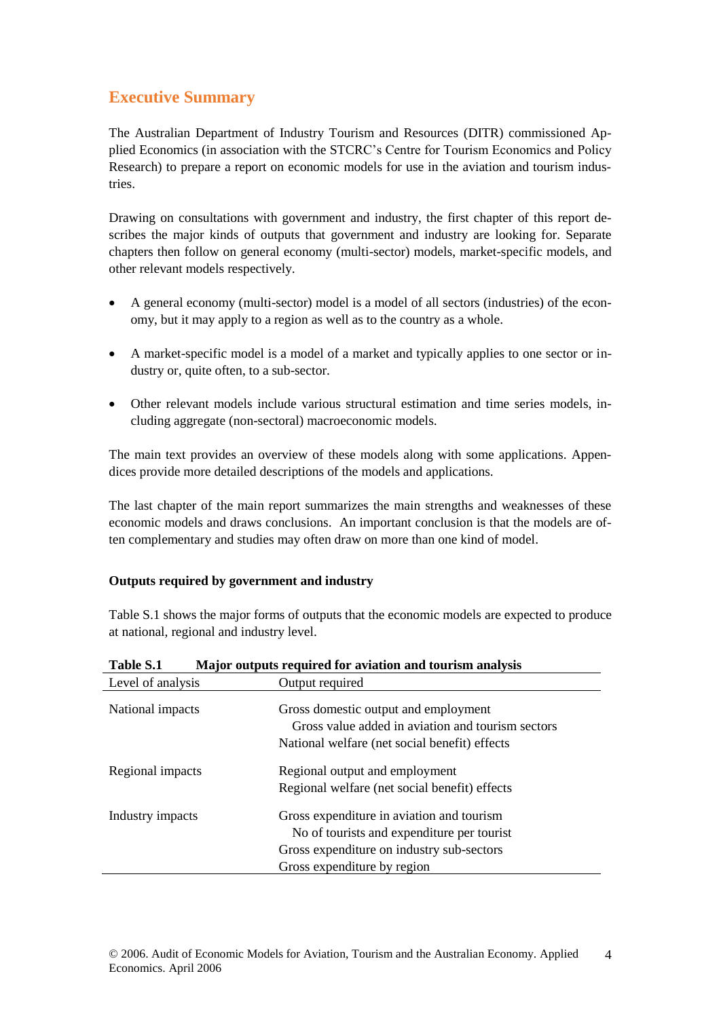## **Executive Summary**

The Australian Department of Industry Tourism and Resources (DITR) commissioned Applied Economics (in association with the STCRC's Centre for Tourism Economics and Policy Research) to prepare a report on economic models for use in the aviation and tourism industries.

Drawing on consultations with government and industry, the first chapter of this report describes the major kinds of outputs that government and industry are looking for. Separate chapters then follow on general economy (multi-sector) models, market-specific models, and other relevant models respectively.

- A general economy (multi-sector) model is a model of all sectors (industries) of the economy, but it may apply to a region as well as to the country as a whole.
- A market-specific model is a model of a market and typically applies to one sector or industry or, quite often, to a sub-sector.
- Other relevant models include various structural estimation and time series models, including aggregate (non-sectoral) macroeconomic models.

The main text provides an overview of these models along with some applications. Appendices provide more detailed descriptions of the models and applications.

The last chapter of the main report summarizes the main strengths and weaknesses of these economic models and draws conclusions. An important conclusion is that the models are often complementary and studies may often draw on more than one kind of model.

## **Outputs required by government and industry**

Table S.1 shows the major forms of outputs that the economic models are expected to produce at national, regional and industry level.

| Level of analysis | Output required                                                                                                                                                     |  |
|-------------------|---------------------------------------------------------------------------------------------------------------------------------------------------------------------|--|
| National impacts  | Gross domestic output and employment<br>Gross value added in aviation and tourism sectors<br>National welfare (net social benefit) effects                          |  |
| Regional impacts  | Regional output and employment<br>Regional welfare (net social benefit) effects                                                                                     |  |
| Industry impacts  | Gross expenditure in aviation and tourism<br>No of tourists and expenditure per tourist<br>Gross expenditure on industry sub-sectors<br>Gross expenditure by region |  |

**Table S.1 Major outputs required for aviation and tourism analysis**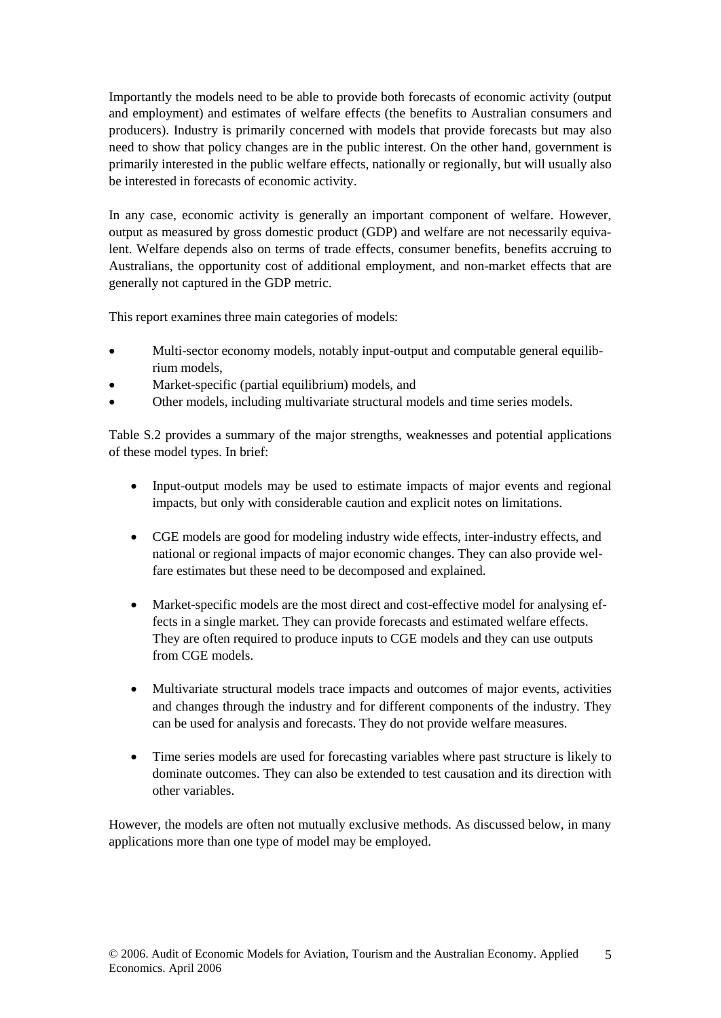Importantly the models need to be able to provide both forecasts of economic activity (output and employment) and estimates of welfare effects (the benefits to Australian consumers and producers). Industry is primarily concerned with models that provide forecasts but may also need to show that policy changes are in the public interest. On the other hand, government is primarily interested in the public welfare effects, nationally or regionally, but will usually also be interested in forecasts of economic activity.

In any case, economic activity is generally an important component of welfare. However, output as measured by gross domestic product (GDP) and welfare are not necessarily equivalent. Welfare depends also on terms of trade effects, consumer benefits, benefits accruing to Australians, the opportunity cost of additional employment, and non-market effects that are generally not captured in the GDP metric.

This report examines three main categories of models:

- Multi-sector economy models, notably input-output and computable general equilibrium models,
- Market-specific (partial equilibrium) models, and
- Other models, including multivariate structural models and time series models.

Table S.2 provides a summary of the major strengths, weaknesses and potential applications of these model types. In brief:

- Input-output models may be used to estimate impacts of major events and regional impacts, but only with considerable caution and explicit notes on limitations.
- CGE models are good for modeling industry wide effects, inter-industry effects, and national or regional impacts of major economic changes. They can also provide welfare estimates but these need to be decomposed and explained.
- Market-specific models are the most direct and cost-effective model for analysing effects in a single market. They can provide forecasts and estimated welfare effects. They are often required to produce inputs to CGE models and they can use outputs from CGE models.
- Multivariate structural models trace impacts and outcomes of major events, activities and changes through the industry and for different components of the industry. They can be used for analysis and forecasts. They do not provide welfare measures.
- Time series models are used for forecasting variables where past structure is likely to dominate outcomes. They can also be extended to test causation and its direction with other variables.

However, the models are often not mutually exclusive methods. As discussed below, in many applications more than one type of model may be employed.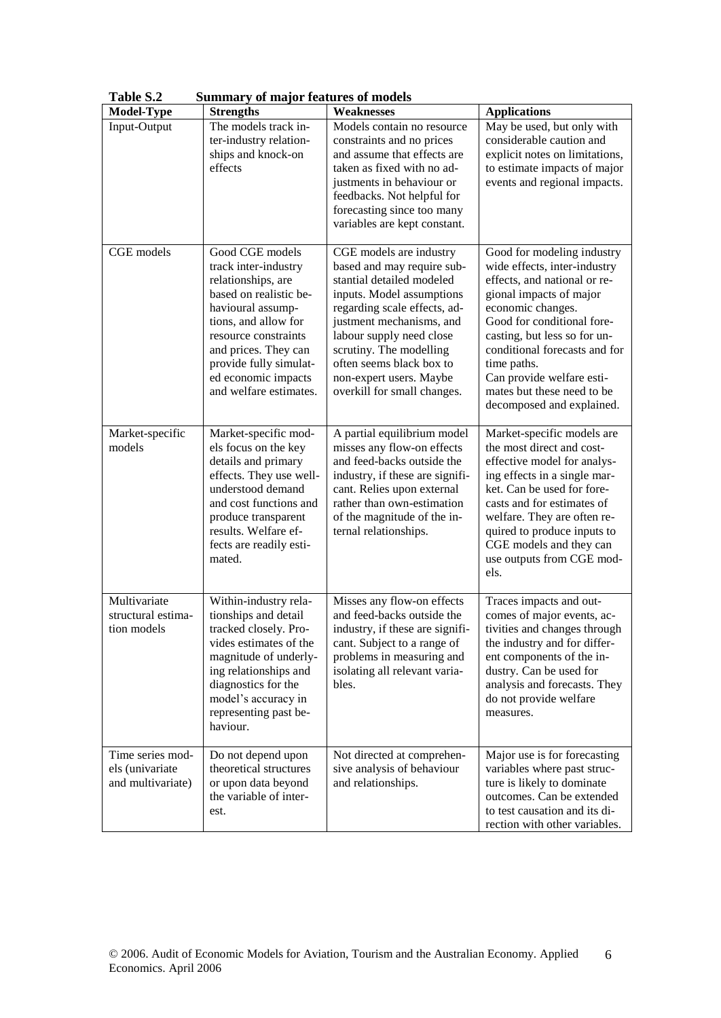| <b>Model-Type</b>                                        | $\alpha$ $\alpha$ $\beta$ $\alpha$ $\alpha$ $\beta$ $\alpha$ $\alpha$ $\alpha$ $\beta$ $\beta$ $\alpha$ $\alpha$<br><b>Strengths</b>                                                                                                                            | Weaknesses                                                                                                                                                                                                                                                                                                               | <b>Applications</b>                                                                                                                                                                                                                                                                                                                              |
|----------------------------------------------------------|-----------------------------------------------------------------------------------------------------------------------------------------------------------------------------------------------------------------------------------------------------------------|--------------------------------------------------------------------------------------------------------------------------------------------------------------------------------------------------------------------------------------------------------------------------------------------------------------------------|--------------------------------------------------------------------------------------------------------------------------------------------------------------------------------------------------------------------------------------------------------------------------------------------------------------------------------------------------|
| Input-Output                                             | The models track in-<br>ter-industry relation-<br>ships and knock-on<br>effects                                                                                                                                                                                 | Models contain no resource<br>constraints and no prices<br>and assume that effects are<br>taken as fixed with no ad-<br>justments in behaviour or<br>feedbacks. Not helpful for<br>forecasting since too many<br>variables are kept constant.                                                                            | May be used, but only with<br>considerable caution and<br>explicit notes on limitations,<br>to estimate impacts of major<br>events and regional impacts.                                                                                                                                                                                         |
| CGE models                                               | Good CGE models<br>track inter-industry<br>relationships, are<br>based on realistic be-<br>havioural assump-<br>tions, and allow for<br>resource constraints<br>and prices. They can<br>provide fully simulat-<br>ed economic impacts<br>and welfare estimates. | CGE models are industry<br>based and may require sub-<br>stantial detailed modeled<br>inputs. Model assumptions<br>regarding scale effects, ad-<br>justment mechanisms, and<br>labour supply need close<br>scrutiny. The modelling<br>often seems black box to<br>non-expert users. Maybe<br>overkill for small changes. | Good for modeling industry<br>wide effects, inter-industry<br>effects, and national or re-<br>gional impacts of major<br>economic changes.<br>Good for conditional fore-<br>casting, but less so for un-<br>conditional forecasts and for<br>time paths.<br>Can provide welfare esti-<br>mates but these need to be<br>decomposed and explained. |
| Market-specific<br>models                                | Market-specific mod-<br>els focus on the key<br>details and primary<br>effects. They use well-<br>understood demand<br>and cost functions and<br>produce transparent<br>results. Welfare ef-<br>fects are readily esti-<br>mated.                               | A partial equilibrium model<br>misses any flow-on effects<br>and feed-backs outside the<br>industry, if these are signifi-<br>cant. Relies upon external<br>rather than own-estimation<br>of the magnitude of the in-<br>ternal relationships.                                                                           | Market-specific models are<br>the most direct and cost-<br>effective model for analys-<br>ing effects in a single mar-<br>ket. Can be used for fore-<br>casts and for estimates of<br>welfare. They are often re-<br>quired to produce inputs to<br>CGE models and they can<br>use outputs from CGE mod-<br>els.                                 |
| Multivariate<br>structural estima-<br>tion models        | Within-industry rela-<br>tionships and detail<br>tracked closely. Pro-<br>vides estimates of the<br>magnitude of underly-<br>ing relationships and<br>diagnostics for the<br>model's accuracy in<br>representing past be-<br>haviour.                           | Misses any flow-on effects<br>and feed-backs outside the<br>industry, if these are signifi-<br>cant. Subject to a range of<br>problems in measuring and<br>isolating all relevant varia-<br>bles.                                                                                                                        | Traces impacts and out-<br>comes of major events, ac-<br>tivities and changes through<br>the industry and for differ-<br>ent components of the in-<br>dustry. Can be used for<br>analysis and forecasts. They<br>do not provide welfare<br>measures.                                                                                             |
| Time series mod-<br>els (univariate<br>and multivariate) | Do not depend upon<br>theoretical structures<br>or upon data beyond<br>the variable of inter-<br>est.                                                                                                                                                           | Not directed at comprehen-<br>sive analysis of behaviour<br>and relationships.                                                                                                                                                                                                                                           | Major use is for forecasting<br>variables where past struc-<br>ture is likely to dominate<br>outcomes. Can be extended<br>to test causation and its di-<br>rection with other variables.                                                                                                                                                         |

**Table S.2 Summary of major features of models**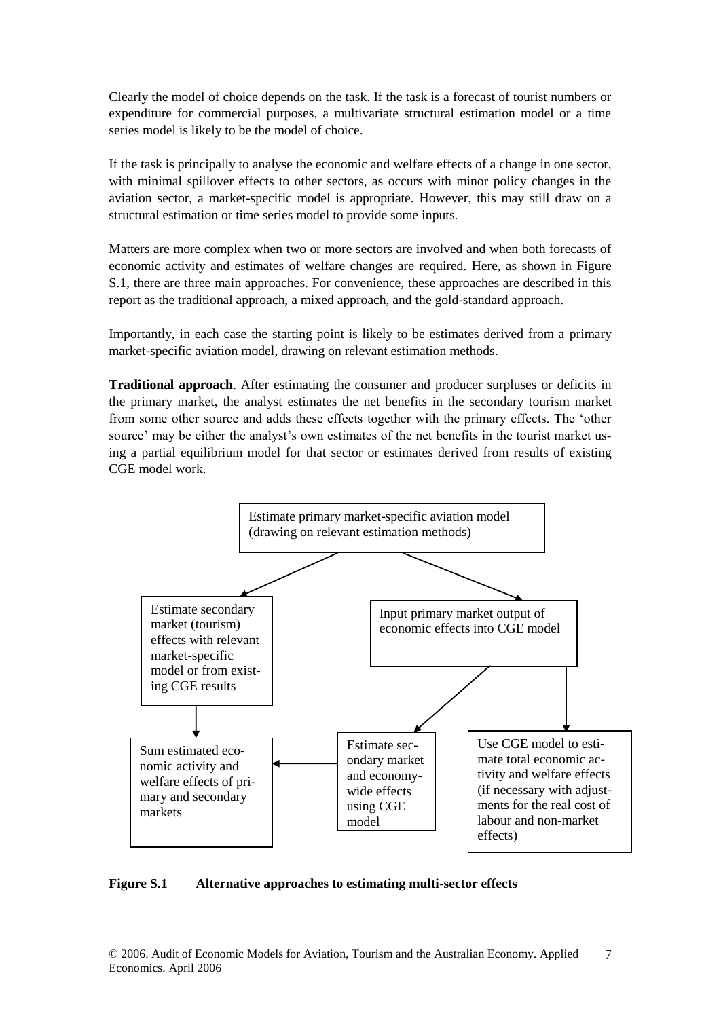Clearly the model of choice depends on the task. If the task is a forecast of tourist numbers or expenditure for commercial purposes, a multivariate structural estimation model or a time series model is likely to be the model of choice.

If the task is principally to analyse the economic and welfare effects of a change in one sector, with minimal spillover effects to other sectors, as occurs with minor policy changes in the aviation sector, a market-specific model is appropriate. However, this may still draw on a structural estimation or time series model to provide some inputs.

Matters are more complex when two or more sectors are involved and when both forecasts of economic activity and estimates of welfare changes are required. Here, as shown in Figure S.1, there are three main approaches. For convenience, these approaches are described in this report as the traditional approach, a mixed approach, and the gold-standard approach.

Importantly, in each case the starting point is likely to be estimates derived from a primary market-specific aviation model, drawing on relevant estimation methods.

**Traditional approach**. After estimating the consumer and producer surpluses or deficits in the primary market, the analyst estimates the net benefits in the secondary tourism market from some other source and adds these effects together with the primary effects. The 'other source' may be either the analyst's own estimates of the net benefits in the tourist market using a partial equilibrium model for that sector or estimates derived from results of existing CGE model work.



**Figure S.1 Alternative approaches to estimating multi-sector effects**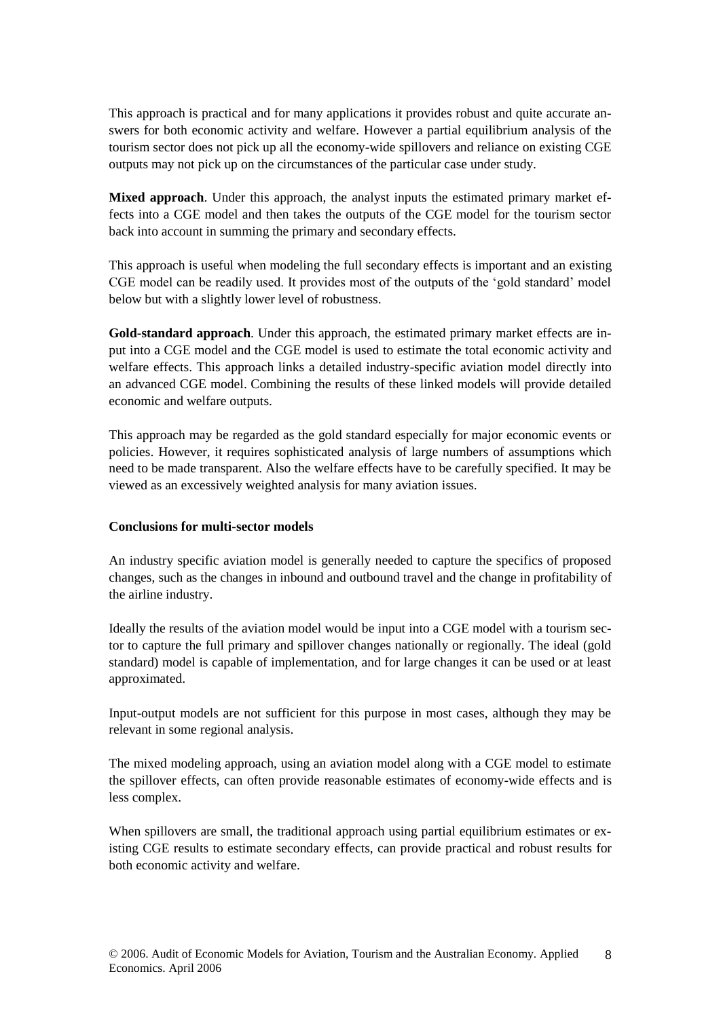This approach is practical and for many applications it provides robust and quite accurate answers for both economic activity and welfare. However a partial equilibrium analysis of the tourism sector does not pick up all the economy-wide spillovers and reliance on existing CGE outputs may not pick up on the circumstances of the particular case under study.

**Mixed approach**. Under this approach, the analyst inputs the estimated primary market effects into a CGE model and then takes the outputs of the CGE model for the tourism sector back into account in summing the primary and secondary effects.

This approach is useful when modeling the full secondary effects is important and an existing CGE model can be readily used. It provides most of the outputs of the 'gold standard' model below but with a slightly lower level of robustness.

**Gold-standard approach**. Under this approach, the estimated primary market effects are input into a CGE model and the CGE model is used to estimate the total economic activity and welfare effects. This approach links a detailed industry-specific aviation model directly into an advanced CGE model. Combining the results of these linked models will provide detailed economic and welfare outputs.

This approach may be regarded as the gold standard especially for major economic events or policies. However, it requires sophisticated analysis of large numbers of assumptions which need to be made transparent. Also the welfare effects have to be carefully specified. It may be viewed as an excessively weighted analysis for many aviation issues.

#### **Conclusions for multi-sector models**

An industry specific aviation model is generally needed to capture the specifics of proposed changes, such as the changes in inbound and outbound travel and the change in profitability of the airline industry.

Ideally the results of the aviation model would be input into a CGE model with a tourism sector to capture the full primary and spillover changes nationally or regionally. The ideal (gold standard) model is capable of implementation, and for large changes it can be used or at least approximated.

Input-output models are not sufficient for this purpose in most cases, although they may be relevant in some regional analysis.

The mixed modeling approach, using an aviation model along with a CGE model to estimate the spillover effects, can often provide reasonable estimates of economy-wide effects and is less complex.

When spillovers are small, the traditional approach using partial equilibrium estimates or existing CGE results to estimate secondary effects, can provide practical and robust results for both economic activity and welfare.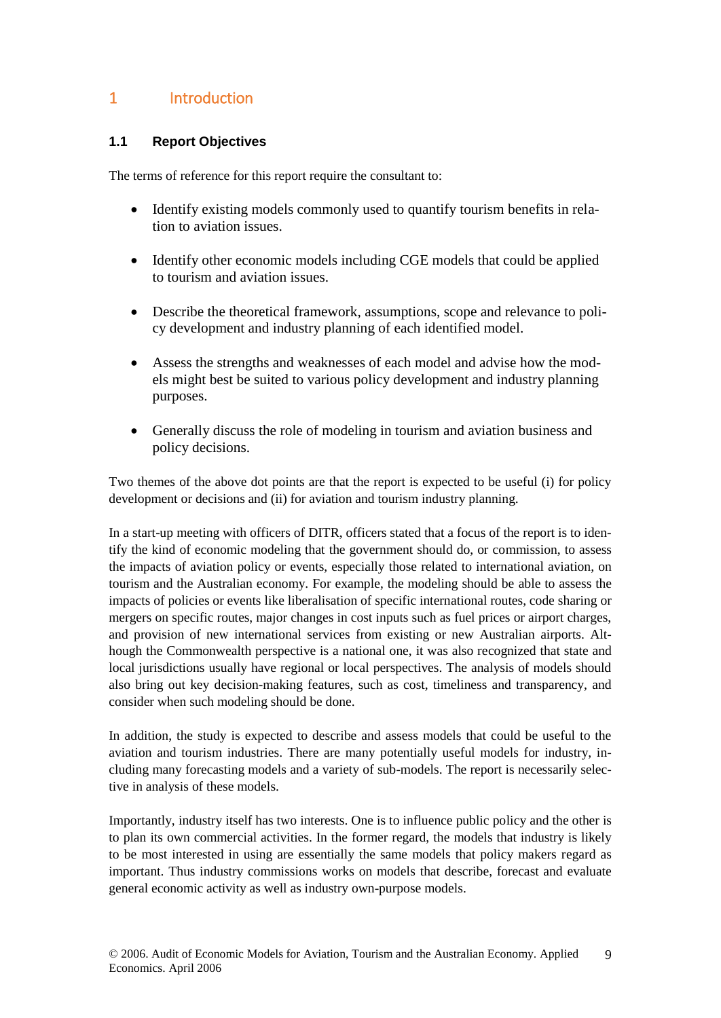## 1 Introduction

## **1.1 Report Objectives**

The terms of reference for this report require the consultant to:

- Identify existing models commonly used to quantify tourism benefits in relation to aviation issues.
- Identify other economic models including CGE models that could be applied to tourism and aviation issues.
- Describe the theoretical framework, assumptions, scope and relevance to policy development and industry planning of each identified model.
- Assess the strengths and weaknesses of each model and advise how the models might best be suited to various policy development and industry planning purposes.
- Generally discuss the role of modeling in tourism and aviation business and policy decisions.

Two themes of the above dot points are that the report is expected to be useful (i) for policy development or decisions and (ii) for aviation and tourism industry planning.

In a start-up meeting with officers of DITR, officers stated that a focus of the report is to identify the kind of economic modeling that the government should do, or commission, to assess the impacts of aviation policy or events, especially those related to international aviation, on tourism and the Australian economy. For example, the modeling should be able to assess the impacts of policies or events like liberalisation of specific international routes, code sharing or mergers on specific routes, major changes in cost inputs such as fuel prices or airport charges, and provision of new international services from existing or new Australian airports. Although the Commonwealth perspective is a national one, it was also recognized that state and local jurisdictions usually have regional or local perspectives. The analysis of models should also bring out key decision-making features, such as cost, timeliness and transparency, and consider when such modeling should be done.

In addition, the study is expected to describe and assess models that could be useful to the aviation and tourism industries. There are many potentially useful models for industry, including many forecasting models and a variety of sub-models. The report is necessarily selective in analysis of these models.

Importantly, industry itself has two interests. One is to influence public policy and the other is to plan its own commercial activities. In the former regard, the models that industry is likely to be most interested in using are essentially the same models that policy makers regard as important. Thus industry commissions works on models that describe, forecast and evaluate general economic activity as well as industry own-purpose models.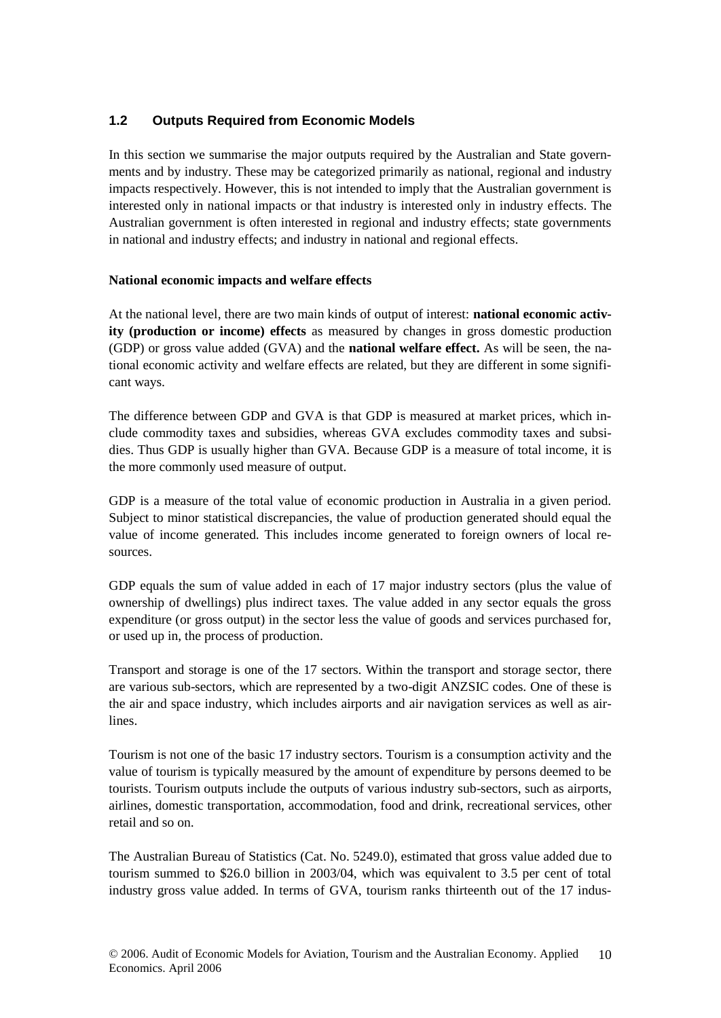## **1.2 Outputs Required from Economic Models**

In this section we summarise the major outputs required by the Australian and State governments and by industry. These may be categorized primarily as national, regional and industry impacts respectively. However, this is not intended to imply that the Australian government is interested only in national impacts or that industry is interested only in industry effects. The Australian government is often interested in regional and industry effects; state governments in national and industry effects; and industry in national and regional effects.

## **National economic impacts and welfare effects**

At the national level, there are two main kinds of output of interest: **national economic activity (production or income) effects** as measured by changes in gross domestic production (GDP) or gross value added (GVA) and the **national welfare effect.** As will be seen, the national economic activity and welfare effects are related, but they are different in some significant ways.

The difference between GDP and GVA is that GDP is measured at market prices, which include commodity taxes and subsidies, whereas GVA excludes commodity taxes and subsidies. Thus GDP is usually higher than GVA. Because GDP is a measure of total income, it is the more commonly used measure of output.

GDP is a measure of the total value of economic production in Australia in a given period. Subject to minor statistical discrepancies, the value of production generated should equal the value of income generated. This includes income generated to foreign owners of local resources.

GDP equals the sum of value added in each of 17 major industry sectors (plus the value of ownership of dwellings) plus indirect taxes. The value added in any sector equals the gross expenditure (or gross output) in the sector less the value of goods and services purchased for, or used up in, the process of production.

Transport and storage is one of the 17 sectors. Within the transport and storage sector, there are various sub-sectors, which are represented by a two-digit ANZSIC codes. One of these is the air and space industry, which includes airports and air navigation services as well as airlines.

Tourism is not one of the basic 17 industry sectors. Tourism is a consumption activity and the value of tourism is typically measured by the amount of expenditure by persons deemed to be tourists. Tourism outputs include the outputs of various industry sub-sectors, such as airports, airlines, domestic transportation, accommodation, food and drink, recreational services, other retail and so on.

The Australian Bureau of Statistics (Cat. No. 5249.0), estimated that gross value added due to tourism summed to \$26.0 billion in 2003/04, which was equivalent to 3.5 per cent of total industry gross value added. In terms of GVA, tourism ranks thirteenth out of the 17 indus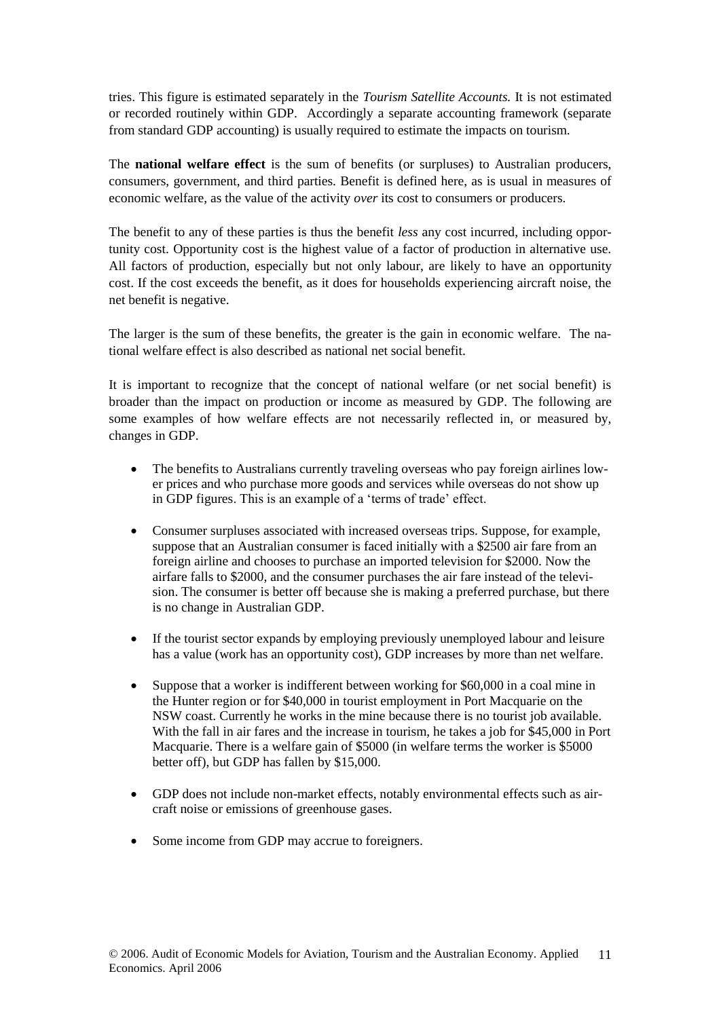tries. This figure is estimated separately in the *Tourism Satellite Accounts.* It is not estimated or recorded routinely within GDP. Accordingly a separate accounting framework (separate from standard GDP accounting) is usually required to estimate the impacts on tourism.

The **national welfare effect** is the sum of benefits (or surpluses) to Australian producers, consumers, government, and third parties. Benefit is defined here, as is usual in measures of economic welfare, as the value of the activity *over* its cost to consumers or producers.

The benefit to any of these parties is thus the benefit *less* any cost incurred, including opportunity cost. Opportunity cost is the highest value of a factor of production in alternative use. All factors of production, especially but not only labour, are likely to have an opportunity cost. If the cost exceeds the benefit, as it does for households experiencing aircraft noise, the net benefit is negative.

The larger is the sum of these benefits, the greater is the gain in economic welfare. The national welfare effect is also described as national net social benefit.

It is important to recognize that the concept of national welfare (or net social benefit) is broader than the impact on production or income as measured by GDP. The following are some examples of how welfare effects are not necessarily reflected in, or measured by, changes in GDP.

- The benefits to Australians currently traveling overseas who pay foreign airlines lower prices and who purchase more goods and services while overseas do not show up in GDP figures. This is an example of a 'terms of trade' effect.
- Consumer surpluses associated with increased overseas trips. Suppose, for example, suppose that an Australian consumer is faced initially with a \$2500 air fare from an foreign airline and chooses to purchase an imported television for \$2000. Now the airfare falls to \$2000, and the consumer purchases the air fare instead of the television. The consumer is better off because she is making a preferred purchase, but there is no change in Australian GDP.
- If the tourist sector expands by employing previously unemployed labour and leisure has a value (work has an opportunity cost), GDP increases by more than net welfare.
- Suppose that a worker is indifferent between working for \$60,000 in a coal mine in the Hunter region or for \$40,000 in tourist employment in Port Macquarie on the NSW coast. Currently he works in the mine because there is no tourist job available. With the fall in air fares and the increase in tourism, he takes a job for \$45,000 in Port Macquarie. There is a welfare gain of \$5000 (in welfare terms the worker is \$5000 better off), but GDP has fallen by \$15,000.
- GDP does not include non-market effects, notably environmental effects such as aircraft noise or emissions of greenhouse gases.
- Some income from GDP may accrue to foreigners.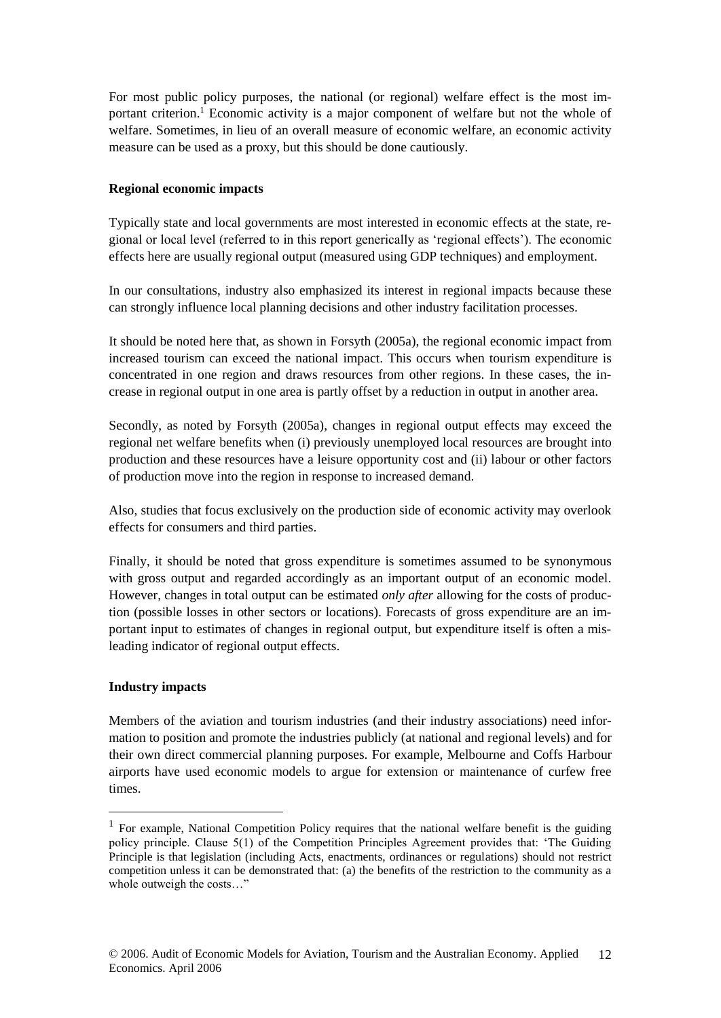For most public policy purposes, the national (or regional) welfare effect is the most important criterion.<sup>1</sup> Economic activity is a major component of welfare but not the whole of welfare. Sometimes, in lieu of an overall measure of economic welfare, an economic activity measure can be used as a proxy, but this should be done cautiously.

#### **Regional economic impacts**

Typically state and local governments are most interested in economic effects at the state, regional or local level (referred to in this report generically as 'regional effects'). The economic effects here are usually regional output (measured using GDP techniques) and employment.

In our consultations, industry also emphasized its interest in regional impacts because these can strongly influence local planning decisions and other industry facilitation processes.

It should be noted here that, as shown in Forsyth (2005a), the regional economic impact from increased tourism can exceed the national impact. This occurs when tourism expenditure is concentrated in one region and draws resources from other regions. In these cases, the increase in regional output in one area is partly offset by a reduction in output in another area.

Secondly, as noted by Forsyth (2005a), changes in regional output effects may exceed the regional net welfare benefits when (i) previously unemployed local resources are brought into production and these resources have a leisure opportunity cost and (ii) labour or other factors of production move into the region in response to increased demand.

Also, studies that focus exclusively on the production side of economic activity may overlook effects for consumers and third parties.

Finally, it should be noted that gross expenditure is sometimes assumed to be synonymous with gross output and regarded accordingly as an important output of an economic model. However, changes in total output can be estimated *only after* allowing for the costs of production (possible losses in other sectors or locations). Forecasts of gross expenditure are an important input to estimates of changes in regional output, but expenditure itself is often a misleading indicator of regional output effects.

#### **Industry impacts**

1

Members of the aviation and tourism industries (and their industry associations) need information to position and promote the industries publicly (at national and regional levels) and for their own direct commercial planning purposes. For example, Melbourne and Coffs Harbour airports have used economic models to argue for extension or maintenance of curfew free times.

<sup>&</sup>lt;sup>1</sup> For example, National Competition Policy requires that the national welfare benefit is the guiding policy principle. Clause 5(1) of the Competition Principles Agreement provides that: 'The Guiding Principle is that legislation (including Acts, enactments, ordinances or regulations) should not restrict competition unless it can be demonstrated that: (a) the benefits of the restriction to the community as a whole outweigh the costs…"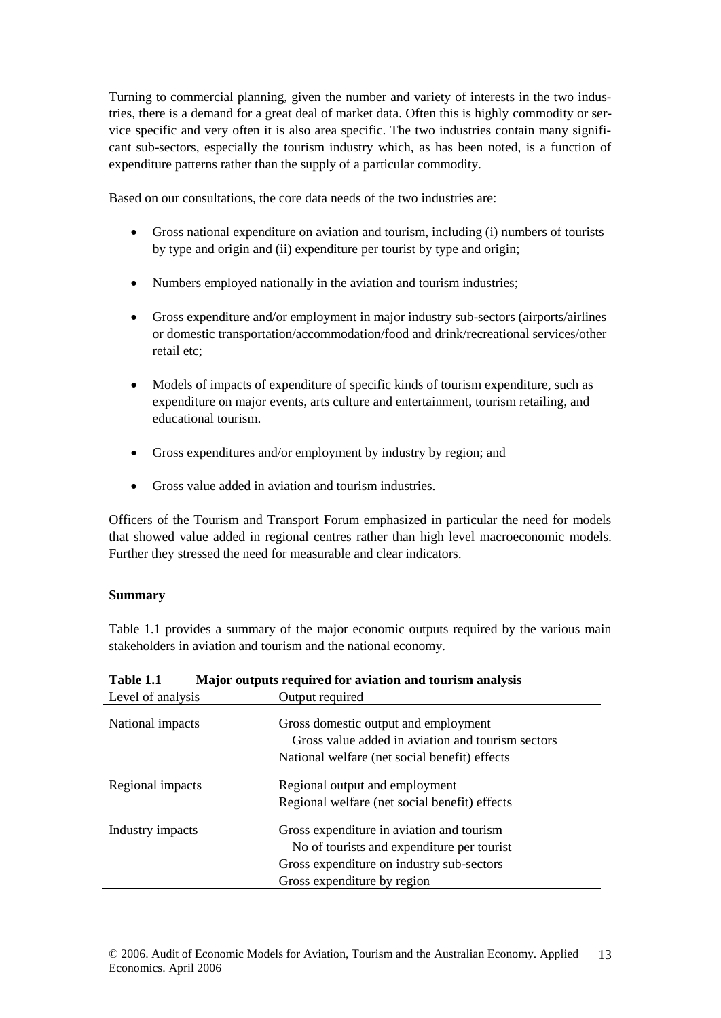Turning to commercial planning, given the number and variety of interests in the two industries, there is a demand for a great deal of market data. Often this is highly commodity or service specific and very often it is also area specific. The two industries contain many significant sub-sectors, especially the tourism industry which, as has been noted, is a function of expenditure patterns rather than the supply of a particular commodity.

Based on our consultations, the core data needs of the two industries are:

- Gross national expenditure on aviation and tourism, including (i) numbers of tourists by type and origin and (ii) expenditure per tourist by type and origin;
- Numbers employed nationally in the aviation and tourism industries;
- Gross expenditure and/or employment in major industry sub-sectors (airports/airlines or domestic transportation/accommodation/food and drink/recreational services/other retail etc;
- Models of impacts of expenditure of specific kinds of tourism expenditure, such as expenditure on major events, arts culture and entertainment, tourism retailing, and educational tourism.
- Gross expenditures and/or employment by industry by region; and
- Gross value added in aviation and tourism industries.

Officers of the Tourism and Transport Forum emphasized in particular the need for models that showed value added in regional centres rather than high level macroeconomic models. Further they stressed the need for measurable and clear indicators.

## **Summary**

Table 1.1 provides a summary of the major economic outputs required by the various main stakeholders in aviation and tourism and the national economy.

| 1 avie 1.1        | <u>Najor outputs required for aviation and tourism analysis</u>                                                                                                     |
|-------------------|---------------------------------------------------------------------------------------------------------------------------------------------------------------------|
| Level of analysis | Output required                                                                                                                                                     |
| National impacts  | Gross domestic output and employment<br>Gross value added in aviation and tourism sectors<br>National welfare (net social benefit) effects                          |
| Regional impacts  | Regional output and employment<br>Regional welfare (net social benefit) effects                                                                                     |
| Industry impacts  | Gross expenditure in aviation and tourism<br>No of tourists and expenditure per tourist<br>Gross expenditure on industry sub-sectors<br>Gross expenditure by region |

**Table 1.1 Major outputs required for aviation and tourism analysis**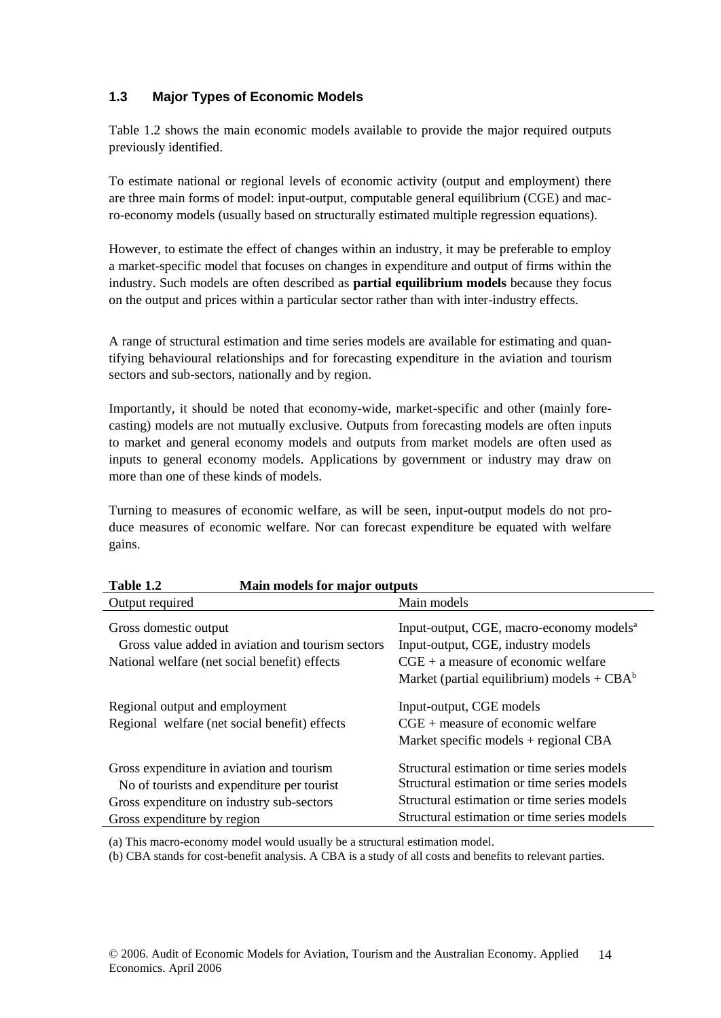## **1.3 Major Types of Economic Models**

Table 1.2 shows the main economic models available to provide the major required outputs previously identified.

To estimate national or regional levels of economic activity (output and employment) there are three main forms of model: input-output, computable general equilibrium (CGE) and macro-economy models (usually based on structurally estimated multiple regression equations).

However, to estimate the effect of changes within an industry, it may be preferable to employ a market-specific model that focuses on changes in expenditure and output of firms within the industry. Such models are often described as **partial equilibrium models** because they focus on the output and prices within a particular sector rather than with inter-industry effects.

A range of structural estimation and time series models are available for estimating and quantifying behavioural relationships and for forecasting expenditure in the aviation and tourism sectors and sub-sectors, nationally and by region.

Importantly, it should be noted that economy-wide, market-specific and other (mainly forecasting) models are not mutually exclusive. Outputs from forecasting models are often inputs to market and general economy models and outputs from market models are often used as inputs to general economy models. Applications by government or industry may draw on more than one of these kinds of models.

Turning to measures of economic welfare, as will be seen, input-output models do not produce measures of economic welfare. Nor can forecast expenditure be equated with welfare gains.

| Table 1.2<br>Main models for major outputs                                                                                                                          |                                                                                                                                                                                          |  |  |
|---------------------------------------------------------------------------------------------------------------------------------------------------------------------|------------------------------------------------------------------------------------------------------------------------------------------------------------------------------------------|--|--|
| Output required                                                                                                                                                     | Main models                                                                                                                                                                              |  |  |
| Gross domestic output<br>Gross value added in aviation and tourism sectors<br>National welfare (net social benefit) effects                                         | Input-output, CGE, macro-economy models <sup>a</sup><br>Input-output, CGE, industry models<br>$CGE + a$ measure of economic welfare<br>Market (partial equilibrium) models + $CBA^b$     |  |  |
| Regional output and employment<br>Regional welfare (net social benefit) effects                                                                                     | Input-output, CGE models<br>$CGE + measure$ of economic welfare<br>Market specific models $+$ regional CBA                                                                               |  |  |
| Gross expenditure in aviation and tourism<br>No of tourists and expenditure per tourist<br>Gross expenditure on industry sub-sectors<br>Gross expenditure by region | Structural estimation or time series models<br>Structural estimation or time series models<br>Structural estimation or time series models<br>Structural estimation or time series models |  |  |

(a) This macro-economy model would usually be a structural estimation model.

(b) CBA stands for cost-benefit analysis. A CBA is a study of all costs and benefits to relevant parties.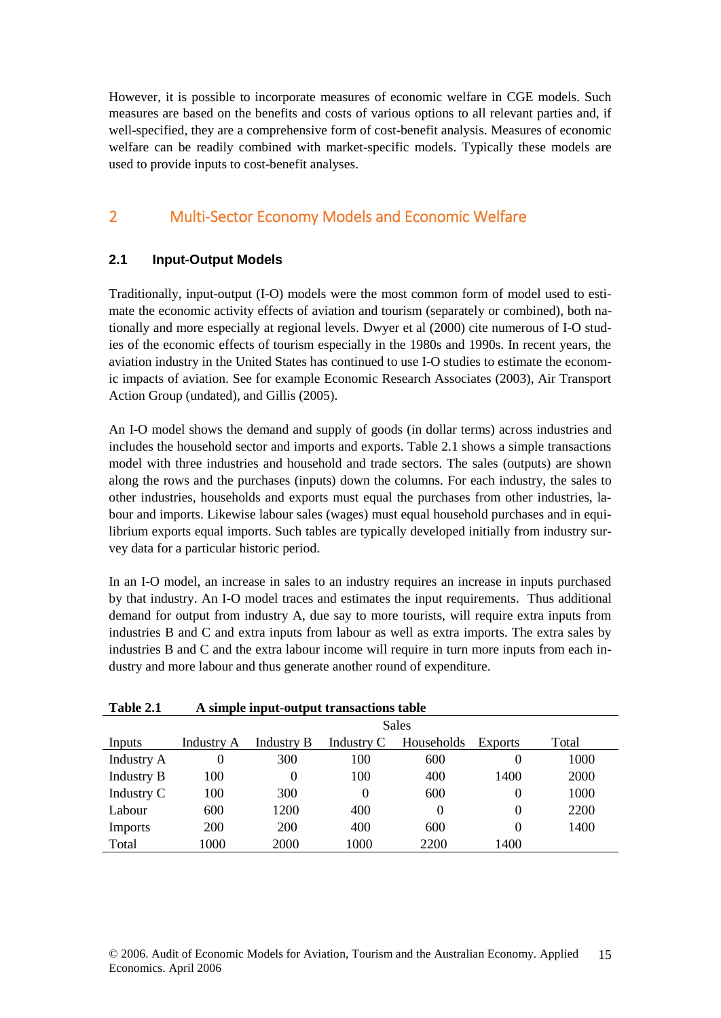However, it is possible to incorporate measures of economic welfare in CGE models. Such measures are based on the benefits and costs of various options to all relevant parties and, if well-specified, they are a comprehensive form of cost-benefit analysis. Measures of economic welfare can be readily combined with market-specific models. Typically these models are used to provide inputs to cost-benefit analyses.

## 2 Multi-Sector Economy Models and Economic Welfare

## **2.1 Input-Output Models**

Traditionally, input-output (I-O) models were the most common form of model used to estimate the economic activity effects of aviation and tourism (separately or combined), both nationally and more especially at regional levels. Dwyer et al (2000) cite numerous of I-O studies of the economic effects of tourism especially in the 1980s and 1990s. In recent years, the aviation industry in the United States has continued to use I-O studies to estimate the economic impacts of aviation. See for example Economic Research Associates (2003), Air Transport Action Group (undated), and Gillis (2005).

An I-O model shows the demand and supply of goods (in dollar terms) across industries and includes the household sector and imports and exports. Table 2.1 shows a simple transactions model with three industries and household and trade sectors. The sales (outputs) are shown along the rows and the purchases (inputs) down the columns. For each industry, the sales to other industries, households and exports must equal the purchases from other industries, labour and imports. Likewise labour sales (wages) must equal household purchases and in equilibrium exports equal imports. Such tables are typically developed initially from industry survey data for a particular historic period.

In an I-O model, an increase in sales to an industry requires an increase in inputs purchased by that industry. An I-O model traces and estimates the input requirements. Thus additional demand for output from industry A, due say to more tourists, will require extra inputs from industries B and C and extra inputs from labour as well as extra imports. The extra sales by industries B and C and the extra labour income will require in turn more inputs from each industry and more labour and thus generate another round of expenditure.

| Table 2.1         | A simple input-output transactions table |            |            |            |                |       |
|-------------------|------------------------------------------|------------|------------|------------|----------------|-------|
|                   | Sales                                    |            |            |            |                |       |
| Inputs            | Industry A                               | Industry B | Industry C | Households | <b>Exports</b> | Total |
| <b>Industry A</b> | $\theta$                                 | 300        | 100        | 600        | 0              | 1000  |
| <b>Industry B</b> | 100                                      | $\theta$   | 100        | 400        | 1400           | 2000  |
| Industry C        | 100                                      | 300        | $\theta$   | 600        | $\theta$       | 1000  |
| Labour            | 600                                      | 1200       | 400        | $\theta$   | $\theta$       | 2200  |
| <b>Imports</b>    | 200                                      | 200        | 400        | 600        | $\theta$       | 1400  |
| Total             | 1000                                     | 2000       | 1000       | 2200       | 1400           |       |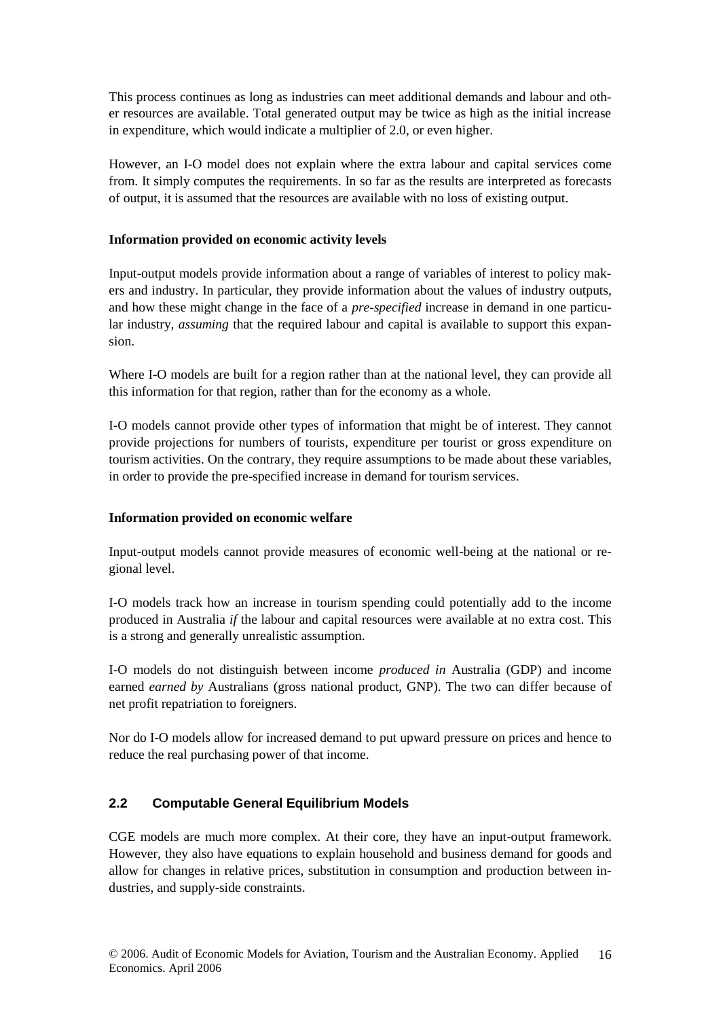This process continues as long as industries can meet additional demands and labour and other resources are available. Total generated output may be twice as high as the initial increase in expenditure, which would indicate a multiplier of 2.0, or even higher.

However, an I-O model does not explain where the extra labour and capital services come from. It simply computes the requirements. In so far as the results are interpreted as forecasts of output, it is assumed that the resources are available with no loss of existing output.

#### **Information provided on economic activity levels**

Input-output models provide information about a range of variables of interest to policy makers and industry. In particular, they provide information about the values of industry outputs, and how these might change in the face of a *pre-specified* increase in demand in one particular industry, *assuming* that the required labour and capital is available to support this expansion.

Where I-O models are built for a region rather than at the national level, they can provide all this information for that region, rather than for the economy as a whole.

I-O models cannot provide other types of information that might be of interest. They cannot provide projections for numbers of tourists, expenditure per tourist or gross expenditure on tourism activities. On the contrary, they require assumptions to be made about these variables, in order to provide the pre-specified increase in demand for tourism services.

## **Information provided on economic welfare**

Input-output models cannot provide measures of economic well-being at the national or regional level.

I-O models track how an increase in tourism spending could potentially add to the income produced in Australia *if* the labour and capital resources were available at no extra cost. This is a strong and generally unrealistic assumption.

I-O models do not distinguish between income *produced in* Australia (GDP) and income earned *earned by* Australians (gross national product, GNP). The two can differ because of net profit repatriation to foreigners.

Nor do I-O models allow for increased demand to put upward pressure on prices and hence to reduce the real purchasing power of that income.

## **2.2 Computable General Equilibrium Models**

CGE models are much more complex. At their core, they have an input-output framework. However, they also have equations to explain household and business demand for goods and allow for changes in relative prices, substitution in consumption and production between industries, and supply-side constraints.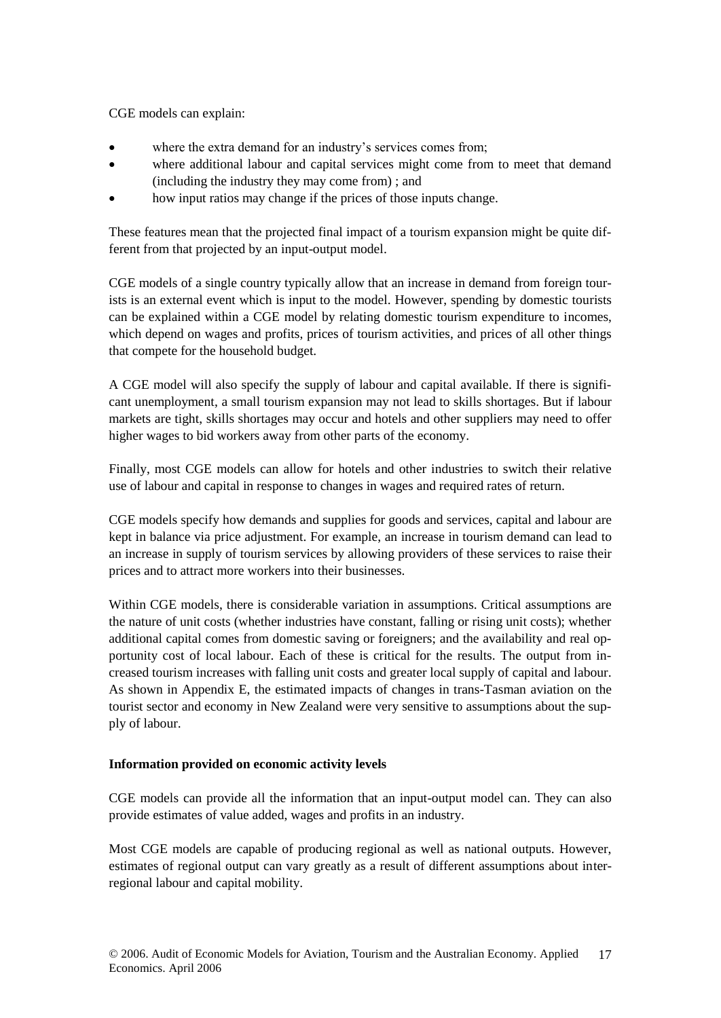CGE models can explain:

- where the extra demand for an industry's services comes from;
- where additional labour and capital services might come from to meet that demand (including the industry they may come from) ; and
- how input ratios may change if the prices of those inputs change.

These features mean that the projected final impact of a tourism expansion might be quite different from that projected by an input-output model.

CGE models of a single country typically allow that an increase in demand from foreign tourists is an external event which is input to the model. However, spending by domestic tourists can be explained within a CGE model by relating domestic tourism expenditure to incomes, which depend on wages and profits, prices of tourism activities, and prices of all other things that compete for the household budget.

A CGE model will also specify the supply of labour and capital available. If there is significant unemployment, a small tourism expansion may not lead to skills shortages. But if labour markets are tight, skills shortages may occur and hotels and other suppliers may need to offer higher wages to bid workers away from other parts of the economy.

Finally, most CGE models can allow for hotels and other industries to switch their relative use of labour and capital in response to changes in wages and required rates of return.

CGE models specify how demands and supplies for goods and services, capital and labour are kept in balance via price adjustment. For example, an increase in tourism demand can lead to an increase in supply of tourism services by allowing providers of these services to raise their prices and to attract more workers into their businesses.

Within CGE models, there is considerable variation in assumptions. Critical assumptions are the nature of unit costs (whether industries have constant, falling or rising unit costs); whether additional capital comes from domestic saving or foreigners; and the availability and real opportunity cost of local labour. Each of these is critical for the results. The output from increased tourism increases with falling unit costs and greater local supply of capital and labour. As shown in Appendix E, the estimated impacts of changes in trans-Tasman aviation on the tourist sector and economy in New Zealand were very sensitive to assumptions about the supply of labour.

## **Information provided on economic activity levels**

CGE models can provide all the information that an input-output model can. They can also provide estimates of value added, wages and profits in an industry.

Most CGE models are capable of producing regional as well as national outputs. However, estimates of regional output can vary greatly as a result of different assumptions about interregional labour and capital mobility.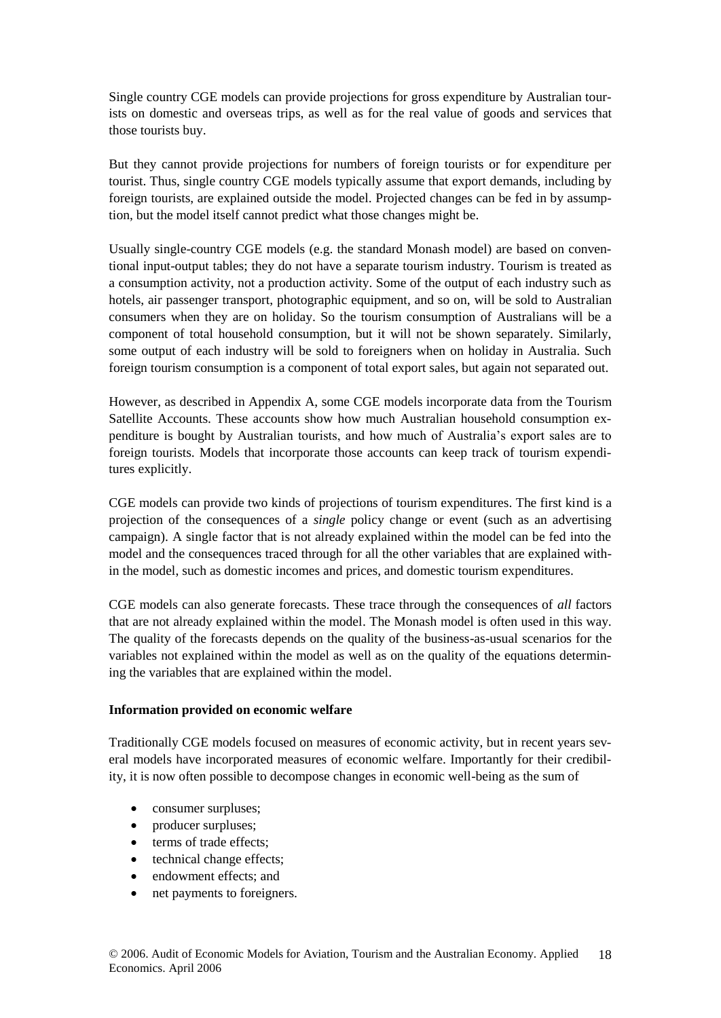Single country CGE models can provide projections for gross expenditure by Australian tourists on domestic and overseas trips, as well as for the real value of goods and services that those tourists buy.

But they cannot provide projections for numbers of foreign tourists or for expenditure per tourist. Thus, single country CGE models typically assume that export demands, including by foreign tourists, are explained outside the model. Projected changes can be fed in by assumption, but the model itself cannot predict what those changes might be.

Usually single-country CGE models (e.g. the standard Monash model) are based on conventional input-output tables; they do not have a separate tourism industry. Tourism is treated as a consumption activity, not a production activity. Some of the output of each industry such as hotels, air passenger transport, photographic equipment, and so on, will be sold to Australian consumers when they are on holiday. So the tourism consumption of Australians will be a component of total household consumption, but it will not be shown separately. Similarly, some output of each industry will be sold to foreigners when on holiday in Australia. Such foreign tourism consumption is a component of total export sales, but again not separated out.

However, as described in Appendix A, some CGE models incorporate data from the Tourism Satellite Accounts. These accounts show how much Australian household consumption expenditure is bought by Australian tourists, and how much of Australia's export sales are to foreign tourists. Models that incorporate those accounts can keep track of tourism expenditures explicitly.

CGE models can provide two kinds of projections of tourism expenditures. The first kind is a projection of the consequences of a *single* policy change or event (such as an advertising campaign). A single factor that is not already explained within the model can be fed into the model and the consequences traced through for all the other variables that are explained within the model, such as domestic incomes and prices, and domestic tourism expenditures.

CGE models can also generate forecasts. These trace through the consequences of *all* factors that are not already explained within the model. The Monash model is often used in this way. The quality of the forecasts depends on the quality of the business-as-usual scenarios for the variables not explained within the model as well as on the quality of the equations determining the variables that are explained within the model.

#### **Information provided on economic welfare**

Traditionally CGE models focused on measures of economic activity, but in recent years several models have incorporated measures of economic welfare. Importantly for their credibility, it is now often possible to decompose changes in economic well-being as the sum of

- consumer surpluses;
- producer surpluses;
- terms of trade effects:
- technical change effects;
- endowment effects; and
- net payments to foreigners.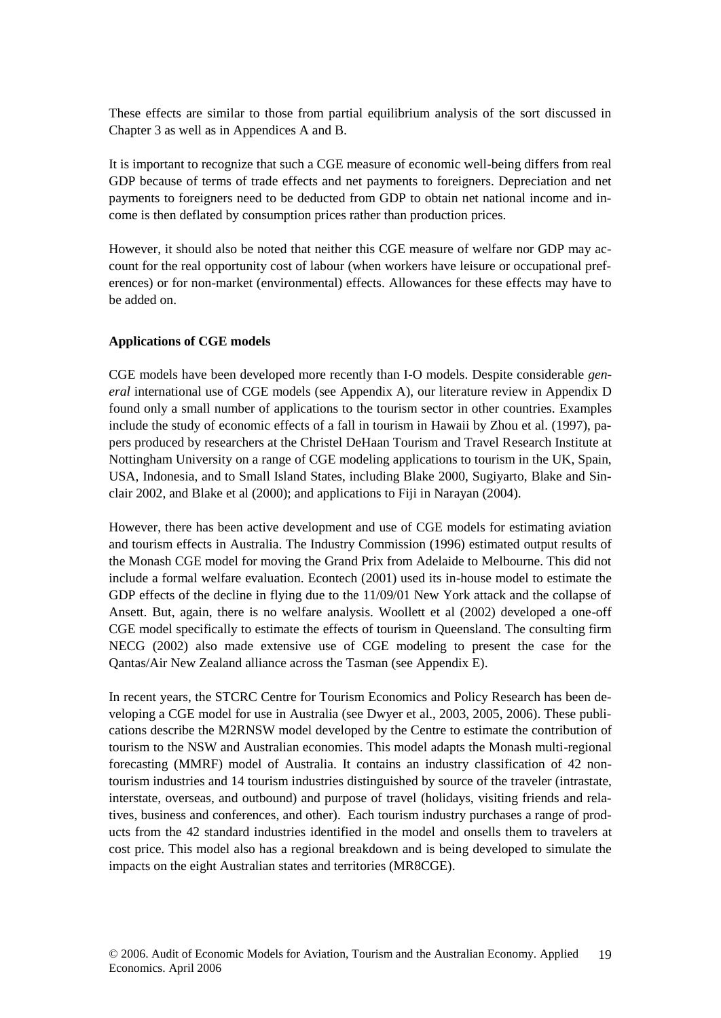These effects are similar to those from partial equilibrium analysis of the sort discussed in Chapter 3 as well as in Appendices A and B.

It is important to recognize that such a CGE measure of economic well-being differs from real GDP because of terms of trade effects and net payments to foreigners. Depreciation and net payments to foreigners need to be deducted from GDP to obtain net national income and income is then deflated by consumption prices rather than production prices.

However, it should also be noted that neither this CGE measure of welfare nor GDP may account for the real opportunity cost of labour (when workers have leisure or occupational preferences) or for non-market (environmental) effects. Allowances for these effects may have to be added on.

#### **Applications of CGE models**

CGE models have been developed more recently than I-O models. Despite considerable *general* international use of CGE models (see Appendix A), our literature review in Appendix D found only a small number of applications to the tourism sector in other countries. Examples include the study of economic effects of a fall in tourism in Hawaii by Zhou et al. (1997), papers produced by researchers at the Christel DeHaan Tourism and Travel Research Institute at Nottingham University on a range of CGE modeling applications to tourism in the UK, Spain, USA, Indonesia, and to Small Island States, including Blake 2000, Sugiyarto, Blake and Sinclair 2002, and Blake et al (2000); and applications to Fiji in Narayan (2004).

However, there has been active development and use of CGE models for estimating aviation and tourism effects in Australia. The Industry Commission (1996) estimated output results of the Monash CGE model for moving the Grand Prix from Adelaide to Melbourne. This did not include a formal welfare evaluation. Econtech (2001) used its in-house model to estimate the GDP effects of the decline in flying due to the 11/09/01 New York attack and the collapse of Ansett. But, again, there is no welfare analysis. Woollett et al (2002) developed a one-off CGE model specifically to estimate the effects of tourism in Queensland. The consulting firm NECG (2002) also made extensive use of CGE modeling to present the case for the Qantas/Air New Zealand alliance across the Tasman (see Appendix E).

In recent years, the STCRC Centre for Tourism Economics and Policy Research has been developing a CGE model for use in Australia (see Dwyer et al., 2003, 2005, 2006). These publications describe the M2RNSW model developed by the Centre to estimate the contribution of tourism to the NSW and Australian economies. This model adapts the Monash multi-regional forecasting (MMRF) model of Australia. It contains an industry classification of 42 nontourism industries and 14 tourism industries distinguished by source of the traveler (intrastate, interstate, overseas, and outbound) and purpose of travel (holidays, visiting friends and relatives, business and conferences, and other). Each tourism industry purchases a range of products from the 42 standard industries identified in the model and onsells them to travelers at cost price. This model also has a regional breakdown and is being developed to simulate the impacts on the eight Australian states and territories (MR8CGE).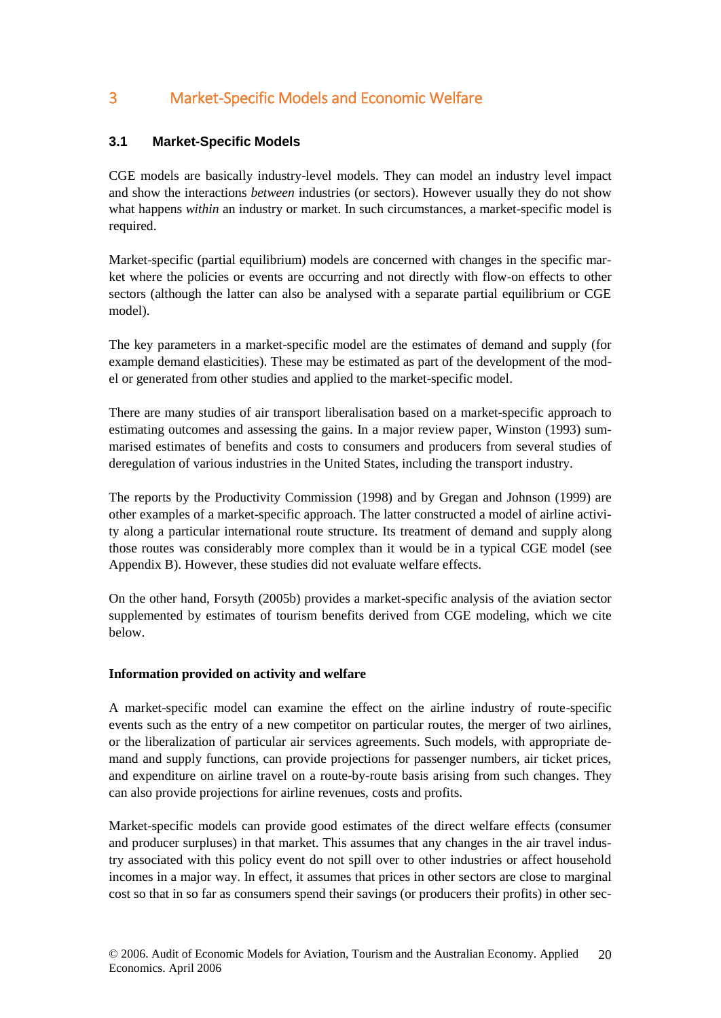## 3 Market-Specific Models and Economic Welfare

## **3.1 Market-Specific Models**

CGE models are basically industry-level models. They can model an industry level impact and show the interactions *between* industries (or sectors). However usually they do not show what happens *within* an industry or market. In such circumstances, a market-specific model is required.

Market-specific (partial equilibrium) models are concerned with changes in the specific market where the policies or events are occurring and not directly with flow-on effects to other sectors (although the latter can also be analysed with a separate partial equilibrium or CGE model).

The key parameters in a market-specific model are the estimates of demand and supply (for example demand elasticities). These may be estimated as part of the development of the model or generated from other studies and applied to the market-specific model.

There are many studies of air transport liberalisation based on a market-specific approach to estimating outcomes and assessing the gains. In a major review paper, Winston (1993) summarised estimates of benefits and costs to consumers and producers from several studies of deregulation of various industries in the United States, including the transport industry.

The reports by the Productivity Commission (1998) and by Gregan and Johnson (1999) are other examples of a market-specific approach. The latter constructed a model of airline activity along a particular international route structure. Its treatment of demand and supply along those routes was considerably more complex than it would be in a typical CGE model (see Appendix B). However, these studies did not evaluate welfare effects.

On the other hand, Forsyth (2005b) provides a market-specific analysis of the aviation sector supplemented by estimates of tourism benefits derived from CGE modeling, which we cite below.

## **Information provided on activity and welfare**

A market-specific model can examine the effect on the airline industry of route-specific events such as the entry of a new competitor on particular routes, the merger of two airlines, or the liberalization of particular air services agreements. Such models, with appropriate demand and supply functions, can provide projections for passenger numbers, air ticket prices, and expenditure on airline travel on a route-by-route basis arising from such changes. They can also provide projections for airline revenues, costs and profits.

Market-specific models can provide good estimates of the direct welfare effects (consumer and producer surpluses) in that market. This assumes that any changes in the air travel industry associated with this policy event do not spill over to other industries or affect household incomes in a major way. In effect, it assumes that prices in other sectors are close to marginal cost so that in so far as consumers spend their savings (or producers their profits) in other sec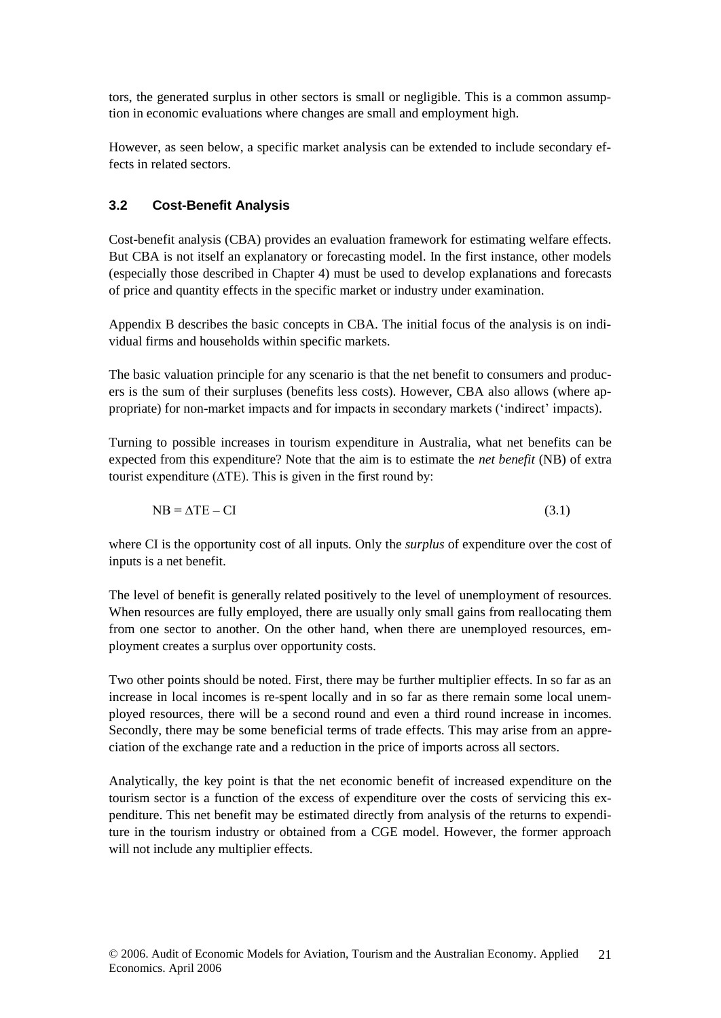tors, the generated surplus in other sectors is small or negligible. This is a common assumption in economic evaluations where changes are small and employment high.

However, as seen below, a specific market analysis can be extended to include secondary effects in related sectors.

## **3.2 Cost-Benefit Analysis**

Cost-benefit analysis (CBA) provides an evaluation framework for estimating welfare effects. But CBA is not itself an explanatory or forecasting model. In the first instance, other models (especially those described in Chapter 4) must be used to develop explanations and forecasts of price and quantity effects in the specific market or industry under examination.

Appendix B describes the basic concepts in CBA. The initial focus of the analysis is on individual firms and households within specific markets.

The basic valuation principle for any scenario is that the net benefit to consumers and producers is the sum of their surpluses (benefits less costs). However, CBA also allows (where appropriate) for non-market impacts and for impacts in secondary markets ('indirect' impacts).

Turning to possible increases in tourism expenditure in Australia, what net benefits can be expected from this expenditure? Note that the aim is to estimate the *net benefit* (NB) of extra tourist expenditure ( $\Delta TE$ ). This is given in the first round by:

 $NB = \Delta TE - CI$  (3.1)

where CI is the opportunity cost of all inputs. Only the *surplus* of expenditure over the cost of inputs is a net benefit.

The level of benefit is generally related positively to the level of unemployment of resources. When resources are fully employed, there are usually only small gains from reallocating them from one sector to another. On the other hand, when there are unemployed resources, employment creates a surplus over opportunity costs.

Two other points should be noted. First, there may be further multiplier effects. In so far as an increase in local incomes is re-spent locally and in so far as there remain some local unemployed resources, there will be a second round and even a third round increase in incomes. Secondly, there may be some beneficial terms of trade effects. This may arise from an appreciation of the exchange rate and a reduction in the price of imports across all sectors.

Analytically, the key point is that the net economic benefit of increased expenditure on the tourism sector is a function of the excess of expenditure over the costs of servicing this expenditure. This net benefit may be estimated directly from analysis of the returns to expenditure in the tourism industry or obtained from a CGE model. However, the former approach will not include any multiplier effects.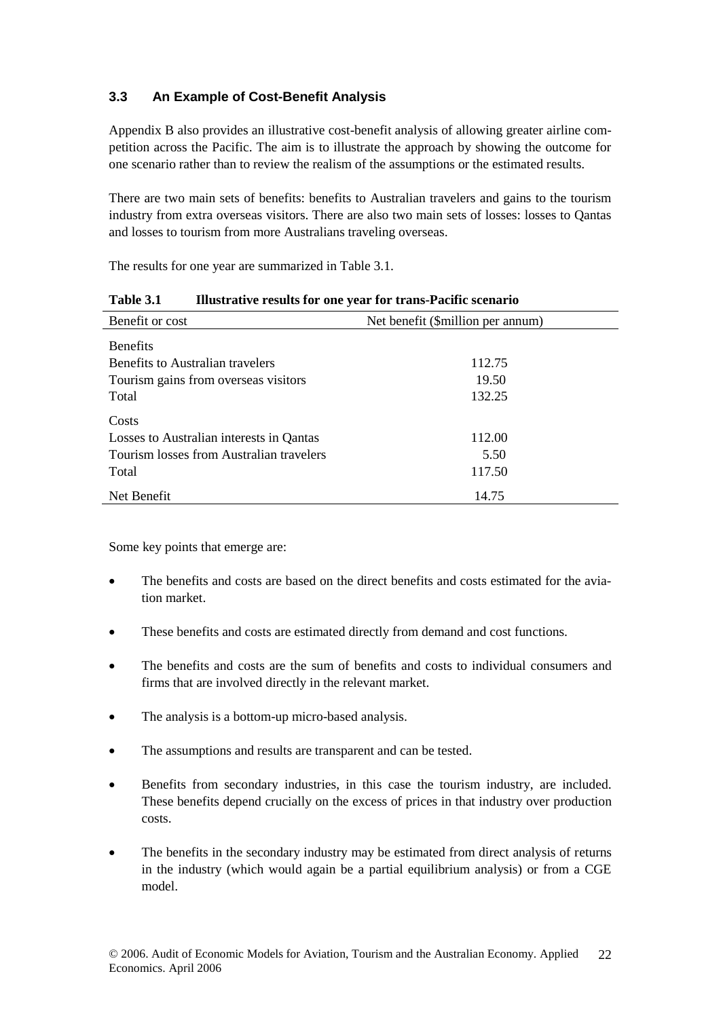## **3.3 An Example of Cost-Benefit Analysis**

Appendix B also provides an illustrative cost-benefit analysis of allowing greater airline competition across the Pacific. The aim is to illustrate the approach by showing the outcome for one scenario rather than to review the realism of the assumptions or the estimated results.

There are two main sets of benefits: benefits to Australian travelers and gains to the tourism industry from extra overseas visitors. There are also two main sets of losses: losses to Qantas and losses to tourism from more Australians traveling overseas.

The results for one year are summarized in Table 3.1.

| Benefit or cost                          | Net benefit (\$million per annum) |  |
|------------------------------------------|-----------------------------------|--|
| <b>Benefits</b>                          |                                   |  |
| Benefits to Australian travelers         | 112.75                            |  |
| Tourism gains from overseas visitors     | 19.50                             |  |
| Total                                    | 132.25                            |  |
| Costs                                    |                                   |  |
| Losses to Australian interests in Qantas | 112.00                            |  |
| Tourism losses from Australian travelers | 5.50                              |  |
| Total                                    | 117.50                            |  |
| Net Benefit                              | 14.75                             |  |

Some key points that emerge are:

- The benefits and costs are based on the direct benefits and costs estimated for the aviation market.
- These benefits and costs are estimated directly from demand and cost functions.
- The benefits and costs are the sum of benefits and costs to individual consumers and firms that are involved directly in the relevant market.
- The analysis is a bottom-up micro-based analysis.
- The assumptions and results are transparent and can be tested.
- Benefits from secondary industries, in this case the tourism industry, are included. These benefits depend crucially on the excess of prices in that industry over production costs.
- The benefits in the secondary industry may be estimated from direct analysis of returns in the industry (which would again be a partial equilibrium analysis) or from a CGE model.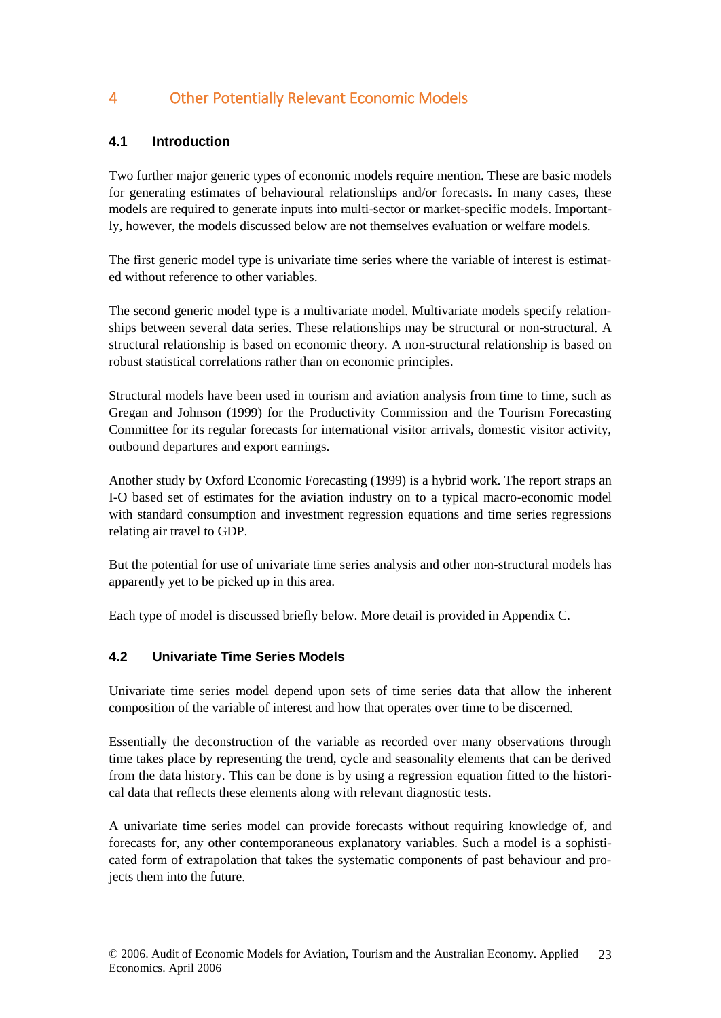## 4 Other Potentially Relevant Economic Models

## **4.1 Introduction**

Two further major generic types of economic models require mention. These are basic models for generating estimates of behavioural relationships and/or forecasts. In many cases, these models are required to generate inputs into multi-sector or market-specific models. Importantly, however, the models discussed below are not themselves evaluation or welfare models.

The first generic model type is univariate time series where the variable of interest is estimated without reference to other variables.

The second generic model type is a multivariate model. Multivariate models specify relationships between several data series. These relationships may be structural or non-structural. A structural relationship is based on economic theory. A non-structural relationship is based on robust statistical correlations rather than on economic principles.

Structural models have been used in tourism and aviation analysis from time to time, such as Gregan and Johnson (1999) for the Productivity Commission and the Tourism Forecasting Committee for its regular forecasts for international visitor arrivals, domestic visitor activity, outbound departures and export earnings.

Another study by Oxford Economic Forecasting (1999) is a hybrid work. The report straps an I-O based set of estimates for the aviation industry on to a typical macro-economic model with standard consumption and investment regression equations and time series regressions relating air travel to GDP.

But the potential for use of univariate time series analysis and other non-structural models has apparently yet to be picked up in this area.

Each type of model is discussed briefly below. More detail is provided in Appendix C.

## **4.2 Univariate Time Series Models**

Univariate time series model depend upon sets of time series data that allow the inherent composition of the variable of interest and how that operates over time to be discerned.

Essentially the deconstruction of the variable as recorded over many observations through time takes place by representing the trend, cycle and seasonality elements that can be derived from the data history. This can be done is by using a regression equation fitted to the historical data that reflects these elements along with relevant diagnostic tests.

A univariate time series model can provide forecasts without requiring knowledge of, and forecasts for, any other contemporaneous explanatory variables. Such a model is a sophisticated form of extrapolation that takes the systematic components of past behaviour and projects them into the future.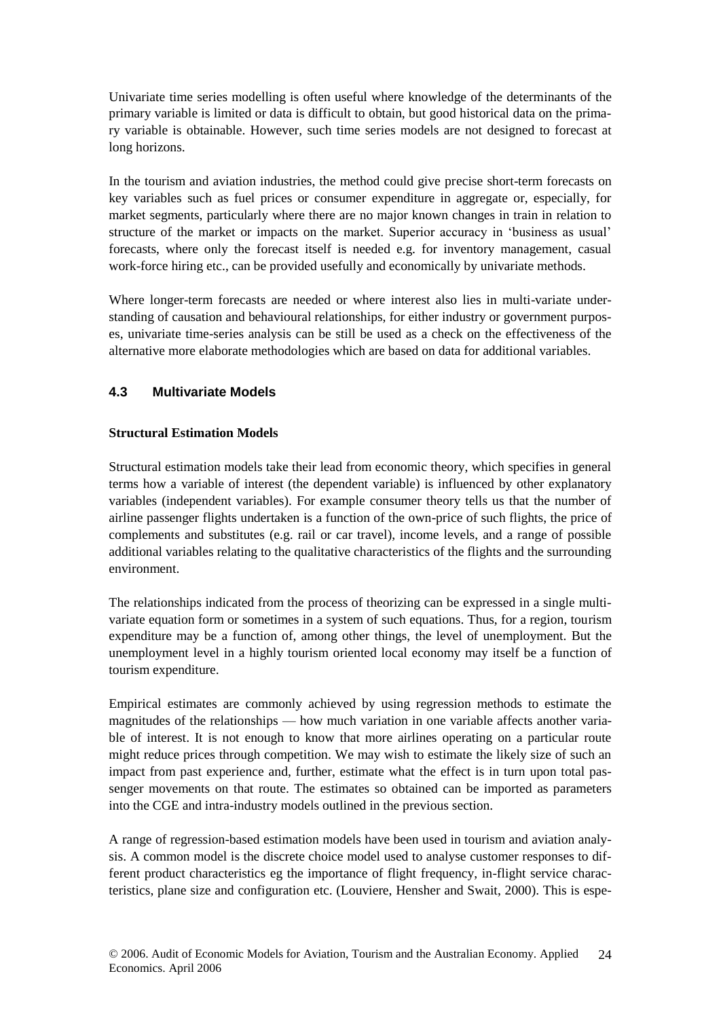Univariate time series modelling is often useful where knowledge of the determinants of the primary variable is limited or data is difficult to obtain, but good historical data on the primary variable is obtainable. However, such time series models are not designed to forecast at long horizons.

In the tourism and aviation industries, the method could give precise short-term forecasts on key variables such as fuel prices or consumer expenditure in aggregate or, especially, for market segments, particularly where there are no major known changes in train in relation to structure of the market or impacts on the market. Superior accuracy in 'business as usual' forecasts, where only the forecast itself is needed e.g. for inventory management, casual work-force hiring etc., can be provided usefully and economically by univariate methods.

Where longer-term forecasts are needed or where interest also lies in multi-variate understanding of causation and behavioural relationships, for either industry or government purposes, univariate time-series analysis can be still be used as a check on the effectiveness of the alternative more elaborate methodologies which are based on data for additional variables.

## **4.3 Multivariate Models**

#### **Structural Estimation Models**

Structural estimation models take their lead from economic theory, which specifies in general terms how a variable of interest (the dependent variable) is influenced by other explanatory variables (independent variables). For example consumer theory tells us that the number of airline passenger flights undertaken is a function of the own-price of such flights, the price of complements and substitutes (e.g. rail or car travel), income levels, and a range of possible additional variables relating to the qualitative characteristics of the flights and the surrounding environment.

The relationships indicated from the process of theorizing can be expressed in a single multivariate equation form or sometimes in a system of such equations. Thus, for a region, tourism expenditure may be a function of, among other things, the level of unemployment. But the unemployment level in a highly tourism oriented local economy may itself be a function of tourism expenditure.

Empirical estimates are commonly achieved by using regression methods to estimate the magnitudes of the relationships — how much variation in one variable affects another variable of interest. It is not enough to know that more airlines operating on a particular route might reduce prices through competition. We may wish to estimate the likely size of such an impact from past experience and, further, estimate what the effect is in turn upon total passenger movements on that route. The estimates so obtained can be imported as parameters into the CGE and intra-industry models outlined in the previous section.

A range of regression-based estimation models have been used in tourism and aviation analysis. A common model is the discrete choice model used to analyse customer responses to different product characteristics eg the importance of flight frequency, in-flight service characteristics, plane size and configuration etc. (Louviere, Hensher and Swait, 2000). This is espe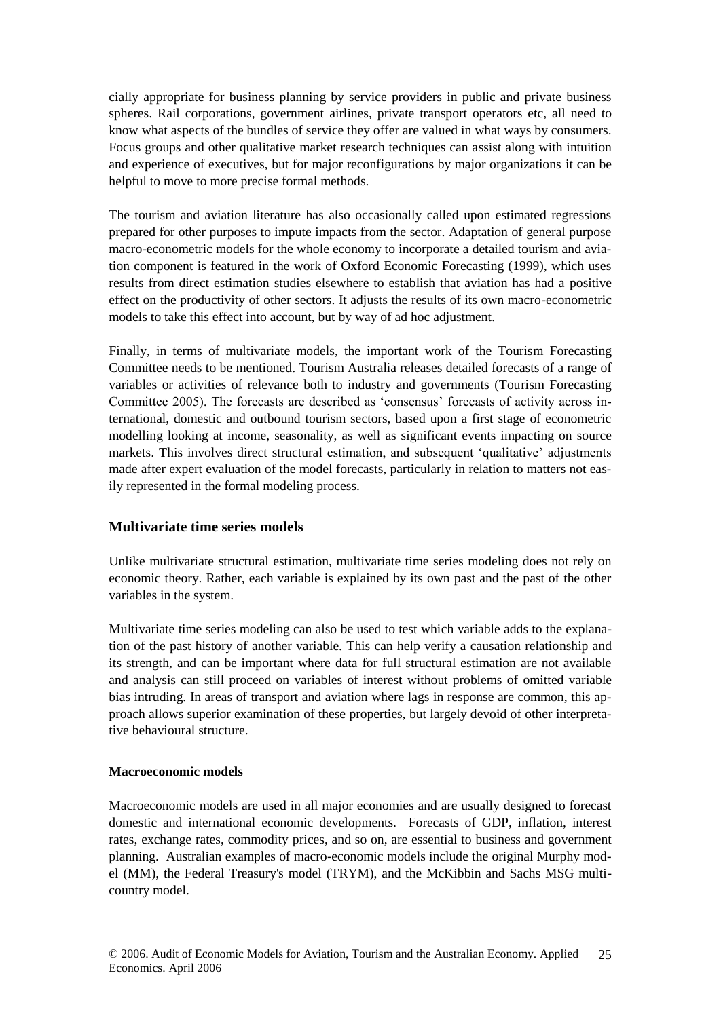cially appropriate for business planning by service providers in public and private business spheres. Rail corporations, government airlines, private transport operators etc, all need to know what aspects of the bundles of service they offer are valued in what ways by consumers. Focus groups and other qualitative market research techniques can assist along with intuition and experience of executives, but for major reconfigurations by major organizations it can be helpful to move to more precise formal methods.

The tourism and aviation literature has also occasionally called upon estimated regressions prepared for other purposes to impute impacts from the sector. Adaptation of general purpose macro-econometric models for the whole economy to incorporate a detailed tourism and aviation component is featured in the work of Oxford Economic Forecasting (1999), which uses results from direct estimation studies elsewhere to establish that aviation has had a positive effect on the productivity of other sectors. It adjusts the results of its own macro-econometric models to take this effect into account, but by way of ad hoc adjustment.

Finally, in terms of multivariate models, the important work of the Tourism Forecasting Committee needs to be mentioned. Tourism Australia releases detailed forecasts of a range of variables or activities of relevance both to industry and governments (Tourism Forecasting Committee 2005). The forecasts are described as 'consensus' forecasts of activity across international, domestic and outbound tourism sectors, based upon a first stage of econometric modelling looking at income, seasonality, as well as significant events impacting on source markets. This involves direct structural estimation, and subsequent 'qualitative' adjustments made after expert evaluation of the model forecasts, particularly in relation to matters not easily represented in the formal modeling process.

## **Multivariate time series models**

Unlike multivariate structural estimation, multivariate time series modeling does not rely on economic theory. Rather, each variable is explained by its own past and the past of the other variables in the system.

Multivariate time series modeling can also be used to test which variable adds to the explanation of the past history of another variable. This can help verify a causation relationship and its strength, and can be important where data for full structural estimation are not available and analysis can still proceed on variables of interest without problems of omitted variable bias intruding. In areas of transport and aviation where lags in response are common, this approach allows superior examination of these properties, but largely devoid of other interpretative behavioural structure.

#### **Macroeconomic models**

Macroeconomic models are used in all major economies and are usually designed to forecast domestic and international economic developments. Forecasts of GDP, inflation, interest rates, exchange rates, commodity prices, and so on, are essential to business and government planning. Australian examples of macro-economic models include the original Murphy model (MM), the Federal Treasury's model (TRYM), and the McKibbin and Sachs MSG multicountry model.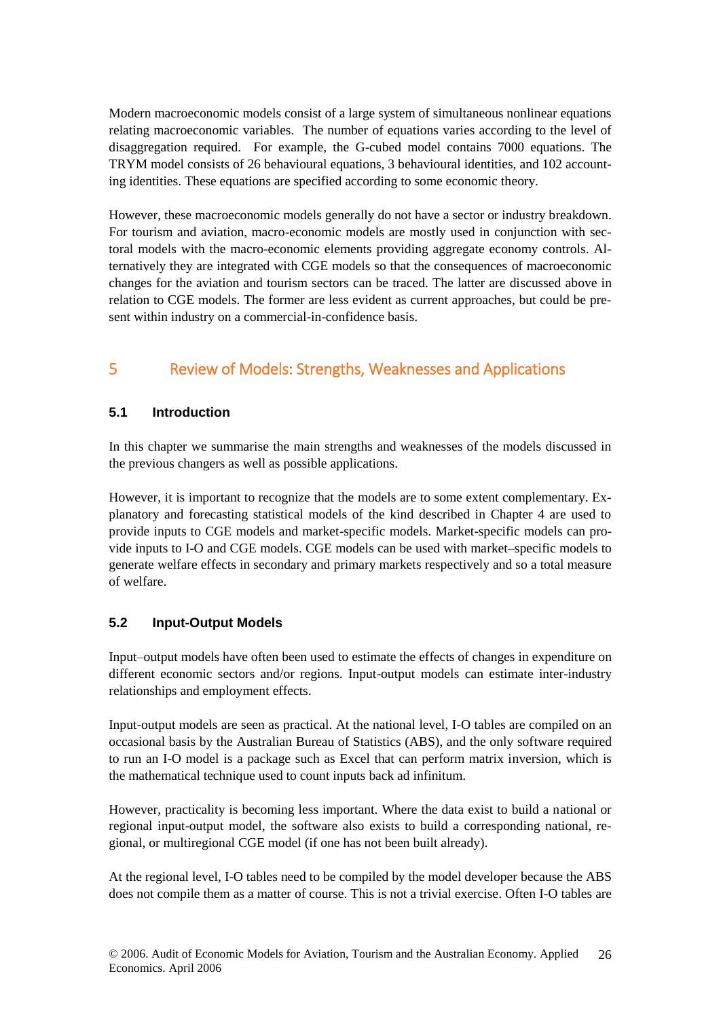Modern macroeconomic models consist of a large system of simultaneous nonlinear equations relating macroeconomic variables. The number of equations varies according to the level of disaggregation required. For example, the G-cubed model contains 7000 equations. The TRYM model consists of 26 behavioural equations, 3 behavioural identities, and 102 accounting identities. These equations are specified according to some economic theory.

However, these macroeconomic models generally do not have a sector or industry breakdown. For tourism and aviation, macro-economic models are mostly used in conjunction with sectoral models with the macro-economic elements providing aggregate economy controls. Alternatively they are integrated with CGE models so that the consequences of macroeconomic changes for the aviation and tourism sectors can be traced. The latter are discussed above in relation to CGE models. The former are less evident as current approaches, but could be present within industry on a commercial-in-confidence basis.

## 5 Review of Models: Strengths, Weaknesses and Applications

## **5.1 Introduction**

In this chapter we summarise the main strengths and weaknesses of the models discussed in the previous changers as well as possible applications.

However, it is important to recognize that the models are to some extent complementary. Explanatory and forecasting statistical models of the kind described in Chapter 4 are used to provide inputs to CGE models and market-specific models. Market-specific models can provide inputs to I-O and CGE models. CGE models can be used with market–specific models to generate welfare effects in secondary and primary markets respectively and so a total measure of welfare.

## **5.2 Input-Output Models**

Input–output models have often been used to estimate the effects of changes in expenditure on different economic sectors and/or regions. Input-output models can estimate inter-industry relationships and employment effects.

Input-output models are seen as practical. At the national level, I-O tables are compiled on an occasional basis by the Australian Bureau of Statistics (ABS), and the only software required to run an I-O model is a package such as Excel that can perform matrix inversion, which is the mathematical technique used to count inputs back ad infinitum.

However, practicality is becoming less important. Where the data exist to build a national or regional input-output model, the software also exists to build a corresponding national, regional, or multiregional CGE model (if one has not been built already).

At the regional level, I-O tables need to be compiled by the model developer because the ABS does not compile them as a matter of course. This is not a trivial exercise. Often I-O tables are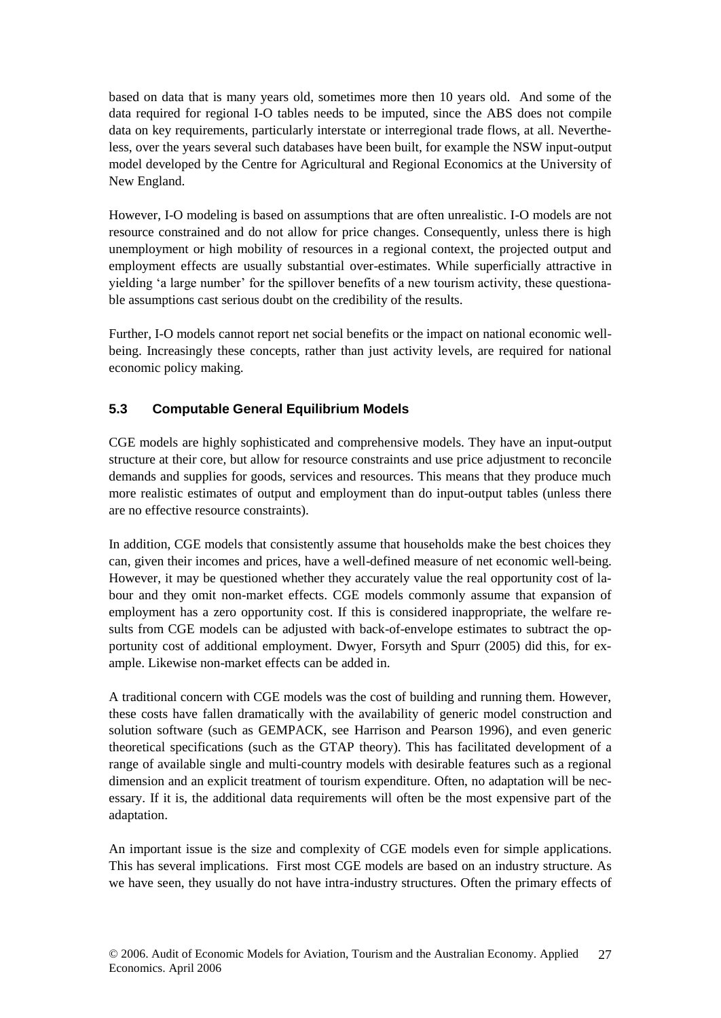based on data that is many years old, sometimes more then 10 years old. And some of the data required for regional I-O tables needs to be imputed, since the ABS does not compile data on key requirements, particularly interstate or interregional trade flows, at all. Nevertheless, over the years several such databases have been built, for example the NSW input-output model developed by the Centre for Agricultural and Regional Economics at the University of New England.

However, I-O modeling is based on assumptions that are often unrealistic. I-O models are not resource constrained and do not allow for price changes. Consequently, unless there is high unemployment or high mobility of resources in a regional context, the projected output and employment effects are usually substantial over-estimates. While superficially attractive in yielding 'a large number' for the spillover benefits of a new tourism activity, these questionable assumptions cast serious doubt on the credibility of the results.

Further, I-O models cannot report net social benefits or the impact on national economic wellbeing. Increasingly these concepts, rather than just activity levels, are required for national economic policy making.

## **5.3 Computable General Equilibrium Models**

CGE models are highly sophisticated and comprehensive models. They have an input-output structure at their core, but allow for resource constraints and use price adjustment to reconcile demands and supplies for goods, services and resources. This means that they produce much more realistic estimates of output and employment than do input-output tables (unless there are no effective resource constraints).

In addition, CGE models that consistently assume that households make the best choices they can, given their incomes and prices, have a well-defined measure of net economic well-being. However, it may be questioned whether they accurately value the real opportunity cost of labour and they omit non-market effects. CGE models commonly assume that expansion of employment has a zero opportunity cost. If this is considered inappropriate, the welfare results from CGE models can be adjusted with back-of-envelope estimates to subtract the opportunity cost of additional employment. Dwyer, Forsyth and Spurr (2005) did this, for example. Likewise non-market effects can be added in.

A traditional concern with CGE models was the cost of building and running them. However, these costs have fallen dramatically with the availability of generic model construction and solution software (such as GEMPACK, see Harrison and Pearson 1996), and even generic theoretical specifications (such as the GTAP theory). This has facilitated development of a range of available single and multi-country models with desirable features such as a regional dimension and an explicit treatment of tourism expenditure. Often, no adaptation will be necessary. If it is, the additional data requirements will often be the most expensive part of the adaptation.

An important issue is the size and complexity of CGE models even for simple applications. This has several implications. First most CGE models are based on an industry structure. As we have seen, they usually do not have intra-industry structures. Often the primary effects of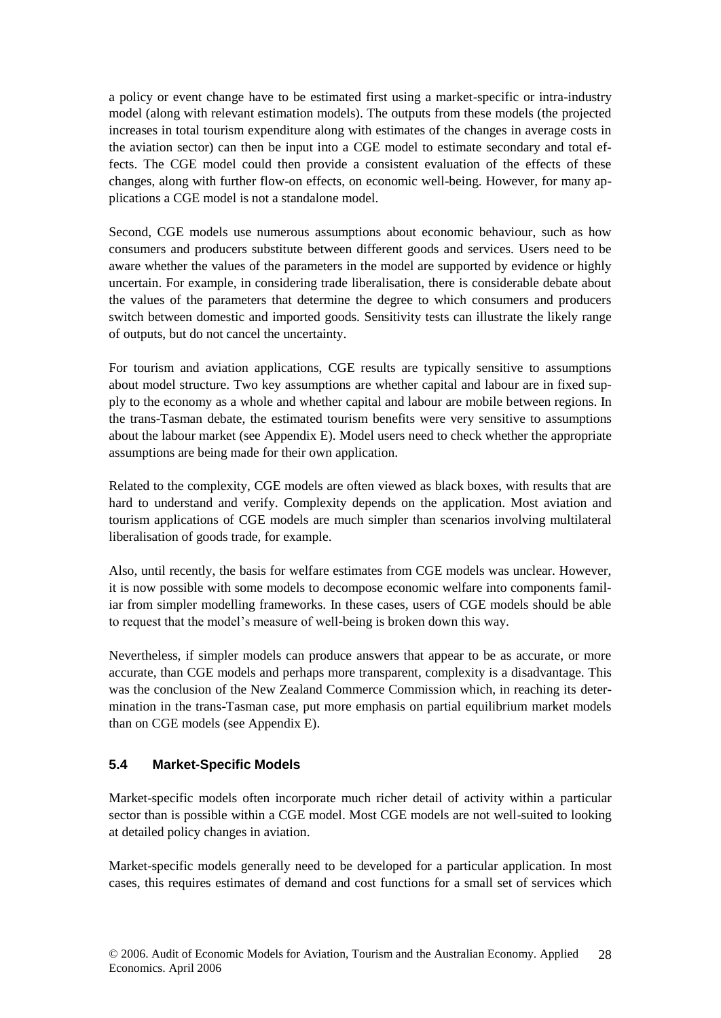a policy or event change have to be estimated first using a market-specific or intra-industry model (along with relevant estimation models). The outputs from these models (the projected increases in total tourism expenditure along with estimates of the changes in average costs in the aviation sector) can then be input into a CGE model to estimate secondary and total effects. The CGE model could then provide a consistent evaluation of the effects of these changes, along with further flow-on effects, on economic well-being. However, for many applications a CGE model is not a standalone model.

Second, CGE models use numerous assumptions about economic behaviour, such as how consumers and producers substitute between different goods and services. Users need to be aware whether the values of the parameters in the model are supported by evidence or highly uncertain. For example, in considering trade liberalisation, there is considerable debate about the values of the parameters that determine the degree to which consumers and producers switch between domestic and imported goods. Sensitivity tests can illustrate the likely range of outputs, but do not cancel the uncertainty.

For tourism and aviation applications, CGE results are typically sensitive to assumptions about model structure. Two key assumptions are whether capital and labour are in fixed supply to the economy as a whole and whether capital and labour are mobile between regions. In the trans-Tasman debate, the estimated tourism benefits were very sensitive to assumptions about the labour market (see Appendix E). Model users need to check whether the appropriate assumptions are being made for their own application.

Related to the complexity, CGE models are often viewed as black boxes, with results that are hard to understand and verify. Complexity depends on the application. Most aviation and tourism applications of CGE models are much simpler than scenarios involving multilateral liberalisation of goods trade, for example.

Also, until recently, the basis for welfare estimates from CGE models was unclear. However, it is now possible with some models to decompose economic welfare into components familiar from simpler modelling frameworks. In these cases, users of CGE models should be able to request that the model's measure of well-being is broken down this way.

Nevertheless, if simpler models can produce answers that appear to be as accurate, or more accurate, than CGE models and perhaps more transparent, complexity is a disadvantage. This was the conclusion of the New Zealand Commerce Commission which, in reaching its determination in the trans-Tasman case, put more emphasis on partial equilibrium market models than on CGE models (see Appendix E).

## **5.4 Market-Specific Models**

Market-specific models often incorporate much richer detail of activity within a particular sector than is possible within a CGE model. Most CGE models are not well-suited to looking at detailed policy changes in aviation.

Market-specific models generally need to be developed for a particular application. In most cases, this requires estimates of demand and cost functions for a small set of services which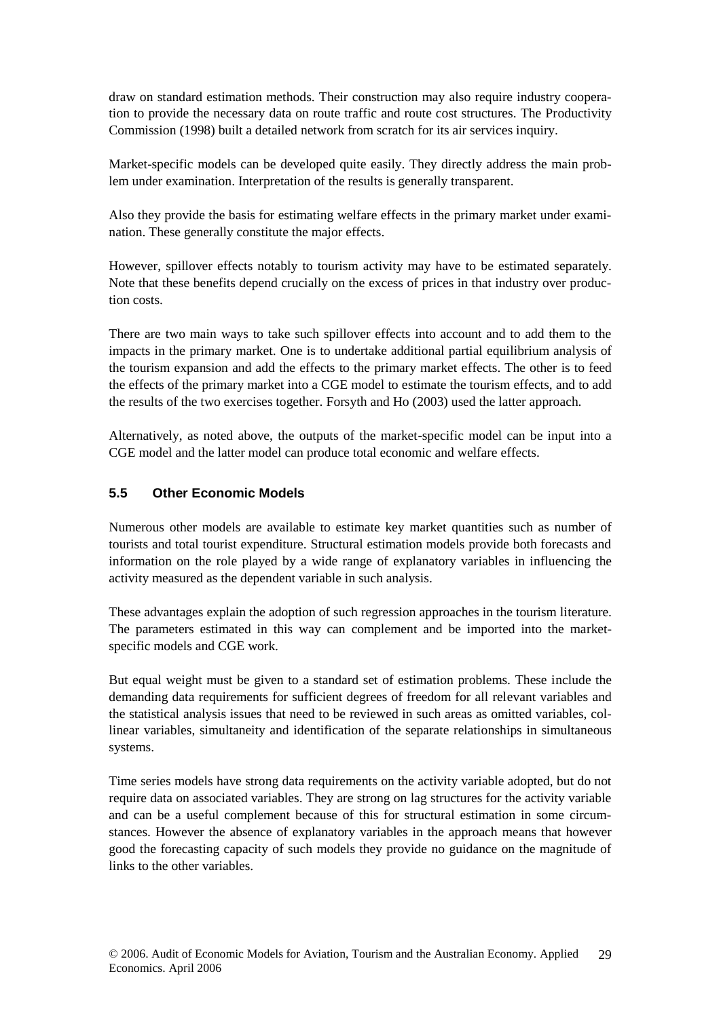draw on standard estimation methods. Their construction may also require industry cooperation to provide the necessary data on route traffic and route cost structures. The Productivity Commission (1998) built a detailed network from scratch for its air services inquiry.

Market-specific models can be developed quite easily. They directly address the main problem under examination. Interpretation of the results is generally transparent.

Also they provide the basis for estimating welfare effects in the primary market under examination. These generally constitute the major effects.

However, spillover effects notably to tourism activity may have to be estimated separately. Note that these benefits depend crucially on the excess of prices in that industry over production costs.

There are two main ways to take such spillover effects into account and to add them to the impacts in the primary market. One is to undertake additional partial equilibrium analysis of the tourism expansion and add the effects to the primary market effects. The other is to feed the effects of the primary market into a CGE model to estimate the tourism effects, and to add the results of the two exercises together. Forsyth and Ho (2003) used the latter approach.

Alternatively, as noted above, the outputs of the market-specific model can be input into a CGE model and the latter model can produce total economic and welfare effects.

#### **5.5 Other Economic Models**

Numerous other models are available to estimate key market quantities such as number of tourists and total tourist expenditure. Structural estimation models provide both forecasts and information on the role played by a wide range of explanatory variables in influencing the activity measured as the dependent variable in such analysis.

These advantages explain the adoption of such regression approaches in the tourism literature. The parameters estimated in this way can complement and be imported into the marketspecific models and CGE work.

But equal weight must be given to a standard set of estimation problems. These include the demanding data requirements for sufficient degrees of freedom for all relevant variables and the statistical analysis issues that need to be reviewed in such areas as omitted variables, collinear variables, simultaneity and identification of the separate relationships in simultaneous systems.

Time series models have strong data requirements on the activity variable adopted, but do not require data on associated variables. They are strong on lag structures for the activity variable and can be a useful complement because of this for structural estimation in some circumstances. However the absence of explanatory variables in the approach means that however good the forecasting capacity of such models they provide no guidance on the magnitude of links to the other variables.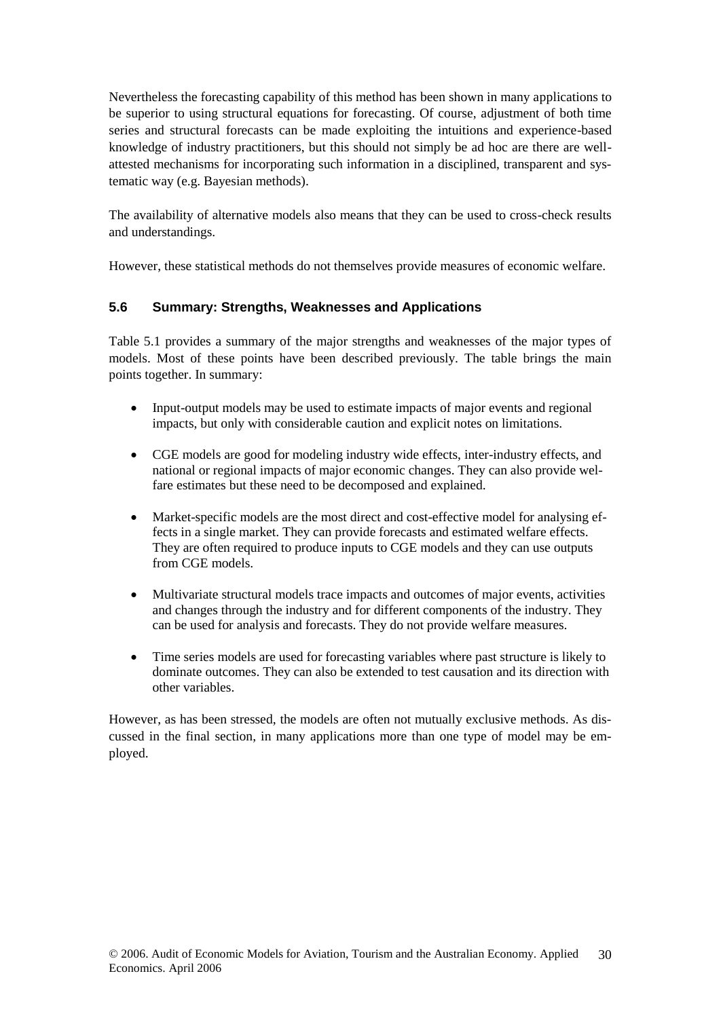Nevertheless the forecasting capability of this method has been shown in many applications to be superior to using structural equations for forecasting. Of course, adjustment of both time series and structural forecasts can be made exploiting the intuitions and experience-based knowledge of industry practitioners, but this should not simply be ad hoc are there are wellattested mechanisms for incorporating such information in a disciplined, transparent and systematic way (e.g. Bayesian methods).

The availability of alternative models also means that they can be used to cross-check results and understandings.

However, these statistical methods do not themselves provide measures of economic welfare.

## **5.6 Summary: Strengths, Weaknesses and Applications**

Table 5.1 provides a summary of the major strengths and weaknesses of the major types of models. Most of these points have been described previously. The table brings the main points together. In summary:

- Input-output models may be used to estimate impacts of major events and regional impacts, but only with considerable caution and explicit notes on limitations.
- CGE models are good for modeling industry wide effects, inter-industry effects, and national or regional impacts of major economic changes. They can also provide welfare estimates but these need to be decomposed and explained.
- Market-specific models are the most direct and cost-effective model for analysing effects in a single market. They can provide forecasts and estimated welfare effects. They are often required to produce inputs to CGE models and they can use outputs from CGE models.
- Multivariate structural models trace impacts and outcomes of major events, activities and changes through the industry and for different components of the industry. They can be used for analysis and forecasts. They do not provide welfare measures.
- Time series models are used for forecasting variables where past structure is likely to dominate outcomes. They can also be extended to test causation and its direction with other variables.

However, as has been stressed, the models are often not mutually exclusive methods. As discussed in the final section, in many applications more than one type of model may be employed.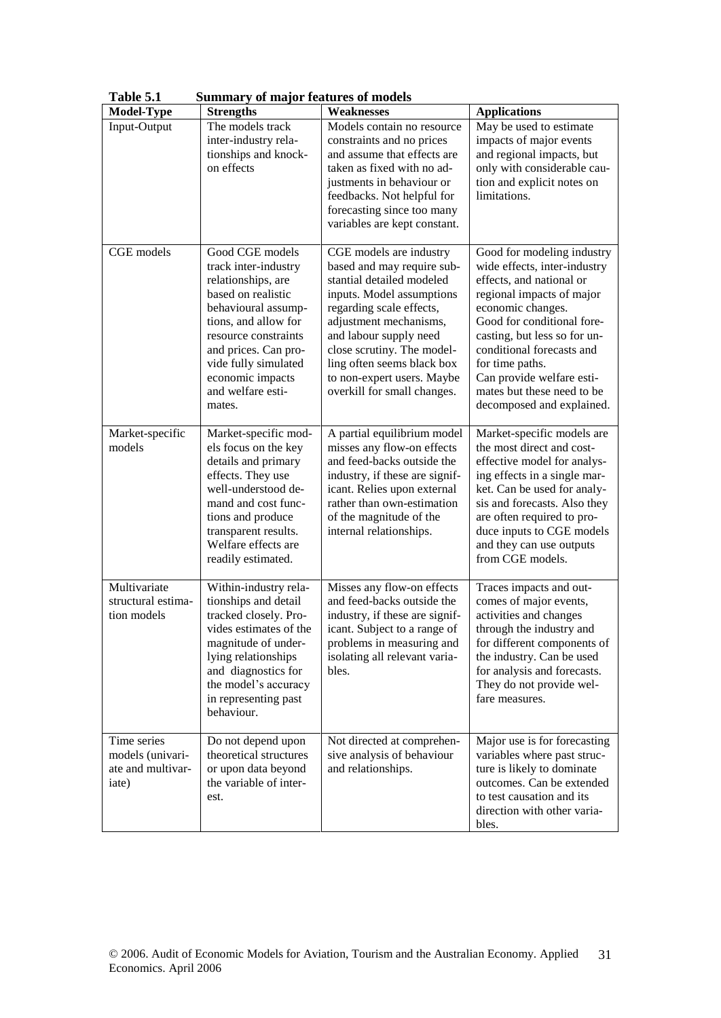| <b>Model-Type</b>                                             | -- ----- <sub>-</sub> ,<br><b>Strengths</b>                                                                                                                                                                                                                   | Weaknesses                                                                                                                                                                                                                                                                                                               | <b>Applications</b>                                                                                                                                                                                                                                                                                                                            |
|---------------------------------------------------------------|---------------------------------------------------------------------------------------------------------------------------------------------------------------------------------------------------------------------------------------------------------------|--------------------------------------------------------------------------------------------------------------------------------------------------------------------------------------------------------------------------------------------------------------------------------------------------------------------------|------------------------------------------------------------------------------------------------------------------------------------------------------------------------------------------------------------------------------------------------------------------------------------------------------------------------------------------------|
| Input-Output                                                  | The models track<br>inter-industry rela-<br>tionships and knock-<br>on effects                                                                                                                                                                                | Models contain no resource<br>constraints and no prices<br>and assume that effects are<br>taken as fixed with no ad-<br>justments in behaviour or<br>feedbacks. Not helpful for<br>forecasting since too many<br>variables are kept constant.                                                                            | May be used to estimate<br>impacts of major events<br>and regional impacts, but<br>only with considerable cau-<br>tion and explicit notes on<br>limitations.                                                                                                                                                                                   |
| CGE models                                                    | Good CGE models<br>track inter-industry<br>relationships, are<br>based on realistic<br>behavioural assump-<br>tions, and allow for<br>resource constraints<br>and prices. Can pro-<br>vide fully simulated<br>economic impacts<br>and welfare esti-<br>mates. | CGE models are industry<br>based and may require sub-<br>stantial detailed modeled<br>inputs. Model assumptions<br>regarding scale effects,<br>adjustment mechanisms,<br>and labour supply need<br>close scrutiny. The model-<br>ling often seems black box<br>to non-expert users. Maybe<br>overkill for small changes. | Good for modeling industry<br>wide effects, inter-industry<br>effects, and national or<br>regional impacts of major<br>economic changes.<br>Good for conditional fore-<br>casting, but less so for un-<br>conditional forecasts and<br>for time paths.<br>Can provide welfare esti-<br>mates but these need to be<br>decomposed and explained. |
| Market-specific<br>models                                     | Market-specific mod-<br>els focus on the key<br>details and primary<br>effects. They use<br>well-understood de-<br>mand and cost func-<br>tions and produce<br>transparent results.<br>Welfare effects are<br>readily estimated.                              | A partial equilibrium model<br>misses any flow-on effects<br>and feed-backs outside the<br>industry, if these are signif-<br>icant. Relies upon external<br>rather than own-estimation<br>of the magnitude of the<br>internal relationships.                                                                             | Market-specific models are<br>the most direct and cost-<br>effective model for analys-<br>ing effects in a single mar-<br>ket. Can be used for analy-<br>sis and forecasts. Also they<br>are often required to pro-<br>duce inputs to CGE models<br>and they can use outputs<br>from CGE models.                                               |
| Multivariate<br>structural estima-<br>tion models             | Within-industry rela-<br>tionships and detail<br>tracked closely. Pro-<br>vides estimates of the<br>magnitude of under-<br>lying relationships<br>and diagnostics for<br>the model's accuracy<br>in representing past<br>behaviour.                           | Misses any flow-on effects<br>and feed-backs outside the<br>industry, if these are signif-<br>icant. Subject to a range of<br>problems in measuring and<br>isolating all relevant varia-<br>bles.                                                                                                                        | Traces impacts and out-<br>comes of major events,<br>activities and changes<br>through the industry and<br>for different components of<br>the industry. Can be used<br>for analysis and forecasts.<br>They do not provide wel-<br>fare measures.                                                                                               |
| Time series<br>models (univari-<br>ate and multivar-<br>iate) | Do not depend upon<br>theoretical structures<br>or upon data beyond<br>the variable of inter-<br>est.                                                                                                                                                         | Not directed at comprehen-<br>sive analysis of behaviour<br>and relationships.                                                                                                                                                                                                                                           | Major use is for forecasting<br>variables where past struc-<br>ture is likely to dominate<br>outcomes. Can be extended<br>to test causation and its<br>direction with other varia-<br>bles.                                                                                                                                                    |

**Table 5.1 Summary of major features of models**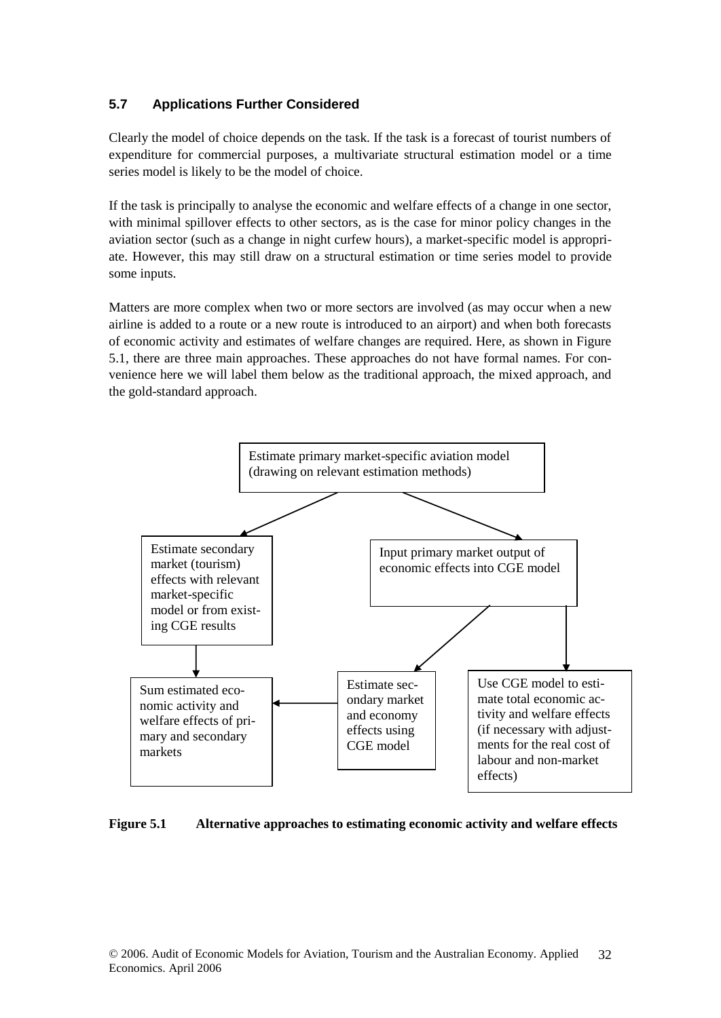## **5.7 Applications Further Considered**

Clearly the model of choice depends on the task. If the task is a forecast of tourist numbers of expenditure for commercial purposes, a multivariate structural estimation model or a time series model is likely to be the model of choice.

If the task is principally to analyse the economic and welfare effects of a change in one sector, with minimal spillover effects to other sectors, as is the case for minor policy changes in the aviation sector (such as a change in night curfew hours), a market-specific model is appropriate. However, this may still draw on a structural estimation or time series model to provide some inputs.

Matters are more complex when two or more sectors are involved (as may occur when a new airline is added to a route or a new route is introduced to an airport) and when both forecasts of economic activity and estimates of welfare changes are required. Here, as shown in Figure 5.1, there are three main approaches. These approaches do not have formal names. For convenience here we will label them below as the traditional approach, the mixed approach, and the gold-standard approach.



#### **Figure 5.1 Alternative approaches to estimating economic activity and welfare effects**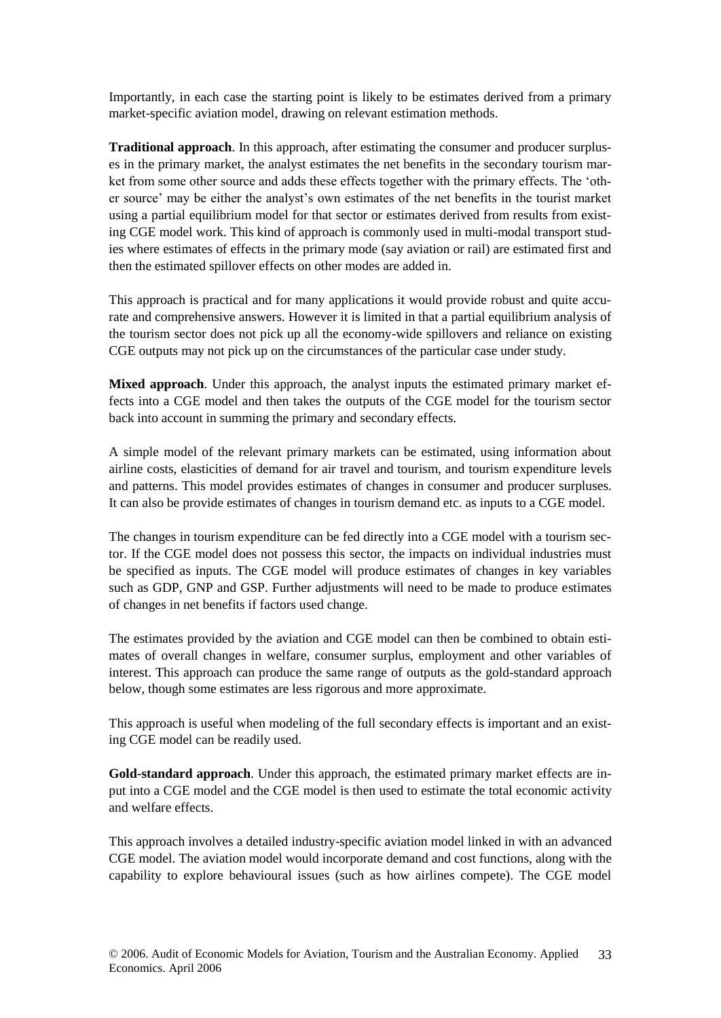Importantly, in each case the starting point is likely to be estimates derived from a primary market-specific aviation model, drawing on relevant estimation methods.

**Traditional approach**. In this approach, after estimating the consumer and producer surpluses in the primary market, the analyst estimates the net benefits in the secondary tourism market from some other source and adds these effects together with the primary effects. The 'other source' may be either the analyst's own estimates of the net benefits in the tourist market using a partial equilibrium model for that sector or estimates derived from results from existing CGE model work. This kind of approach is commonly used in multi-modal transport studies where estimates of effects in the primary mode (say aviation or rail) are estimated first and then the estimated spillover effects on other modes are added in.

This approach is practical and for many applications it would provide robust and quite accurate and comprehensive answers. However it is limited in that a partial equilibrium analysis of the tourism sector does not pick up all the economy-wide spillovers and reliance on existing CGE outputs may not pick up on the circumstances of the particular case under study.

**Mixed approach**. Under this approach, the analyst inputs the estimated primary market effects into a CGE model and then takes the outputs of the CGE model for the tourism sector back into account in summing the primary and secondary effects.

A simple model of the relevant primary markets can be estimated, using information about airline costs, elasticities of demand for air travel and tourism, and tourism expenditure levels and patterns. This model provides estimates of changes in consumer and producer surpluses. It can also be provide estimates of changes in tourism demand etc. as inputs to a CGE model.

The changes in tourism expenditure can be fed directly into a CGE model with a tourism sector. If the CGE model does not possess this sector, the impacts on individual industries must be specified as inputs. The CGE model will produce estimates of changes in key variables such as GDP, GNP and GSP. Further adjustments will need to be made to produce estimates of changes in net benefits if factors used change.

The estimates provided by the aviation and CGE model can then be combined to obtain estimates of overall changes in welfare, consumer surplus, employment and other variables of interest. This approach can produce the same range of outputs as the gold-standard approach below, though some estimates are less rigorous and more approximate.

This approach is useful when modeling of the full secondary effects is important and an existing CGE model can be readily used.

**Gold-standard approach**. Under this approach, the estimated primary market effects are input into a CGE model and the CGE model is then used to estimate the total economic activity and welfare effects.

This approach involves a detailed industry-specific aviation model linked in with an advanced CGE model. The aviation model would incorporate demand and cost functions, along with the capability to explore behavioural issues (such as how airlines compete). The CGE model